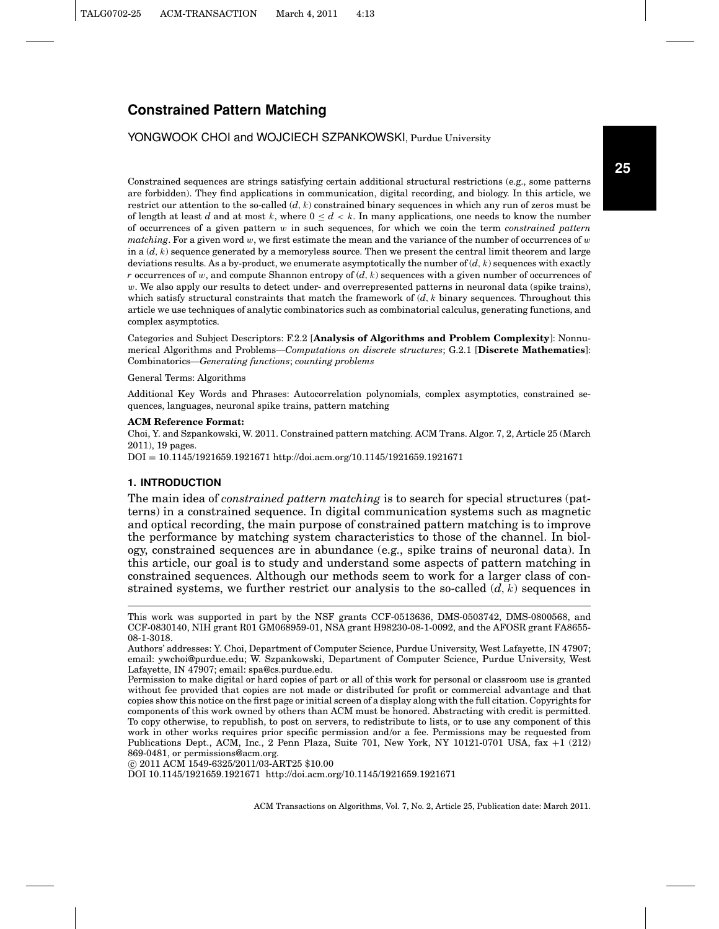### YONGWOOK CHOI and WOJCIECH SZPANKOWSKI, Purdue University

Constrained sequences are strings satisfying certain additional structural restrictions (e.g., some patterns are forbidden). They find applications in communication, digital recording, and biology. In this article, we restrict our attention to the so-called (*d*, k) constrained binary sequences in which any run of zeros must be of length at least *d* and at most k, where  $0 \leq d \leq k$ . In many applications, one needs to know the number of occurrences of a given pattern w in such sequences, for which we coin the term *constrained pattern matching*. For a given word w, we first estimate the mean and the variance of the number of occurrences of  $w$ in a  $(d, k)$  sequence generated by a memoryless source. Then we present the central limit theorem and large deviations results. As a by-product, we enumerate asymptotically the number of (*d*, k) sequences with exactly *r* occurrences of w, and compute Shannon entropy of (*d*, k) sequences with a given number of occurrences of  $w$ . We also apply our results to detect under- and overrepresented patterns in neuronal data (spike trains), which satisfy structural constraints that match the framework of  $(d, k)$  binary sequences. Throughout this article we use techniques of analytic combinatorics such as combinatorial calculus, generating functions, and complex asymptotics.

Categories and Subject Descriptors: F.2.2 [**Analysis of Algorithms and Problem Complexity**]: Nonnumerical Algorithms and Problems—*Computations on discrete structures*; G.2.1 [**Discrete Mathematics**]: Combinatorics—*Generating functions*; *counting problems*

General Terms: Algorithms

Additional Key Words and Phrases: Autocorrelation polynomials, complex asymptotics, constrained sequences, languages, neuronal spike trains, pattern matching

#### **ACM Reference Format:**

Choi, Y. and Szpankowski, W. 2011. Constrained pattern matching. ACM Trans. Algor. 7, 2, Article 25 (March 2011), 19 pages.

DOI = 10.1145/1921659.1921671 http://doi.acm.org/10.1145/1921659.1921671

#### **1. INTRODUCTION**

The main idea of *constrained pattern matching* is to search for special structures (patterns) in a constrained sequence. In digital communication systems such as magnetic and optical recording, the main purpose of constrained pattern matching is to improve the performance by matching system characteristics to those of the channel. In biology, constrained sequences are in abundance (e.g., spike trains of neuronal data). In this article, our goal is to study and understand some aspects of pattern matching in constrained sequences. Although our methods seem to work for a larger class of constrained systems, we further restrict our analysis to the so-called  $(d, k)$  sequences in

-c 2011 ACM 1549-6325/2011/03-ART25 \$10.00

DOI 10.1145/1921659.1921671 http://doi.acm.org/10.1145/1921659.1921671

This work was supported in part by the NSF grants CCF-0513636, DMS-0503742, DMS-0800568, and CCF-0830140, NIH grant R01 GM068959-01, NSA grant H98230-08-1-0092, and the AFOSR grant FA8655- 08-1-3018.

Authors' addresses: Y. Choi, Department of Computer Science, Purdue University, West Lafayette, IN 47907; email: ywchoi@purdue.edu; W. Szpankowski, Department of Computer Science, Purdue University, West Lafayette, IN 47907; email: spa@cs.purdue.edu.

Permission to make digital or hard copies of part or all of this work for personal or classroom use is granted without fee provided that copies are not made or distributed for profit or commercial advantage and that copies show this notice on the first page or initial screen of a display along with the full citation. Copyrights for components of this work owned by others than ACM must be honored. Abstracting with credit is permitted. To copy otherwise, to republish, to post on servers, to redistribute to lists, or to use any component of this work in other works requires prior specific permission and/or a fee. Permissions may be requested from Publications Dept., ACM, Inc., 2 Penn Plaza, Suite 701, New York, NY 10121-0701 USA, fax +1 (212) 869-0481, or permissions@acm.org.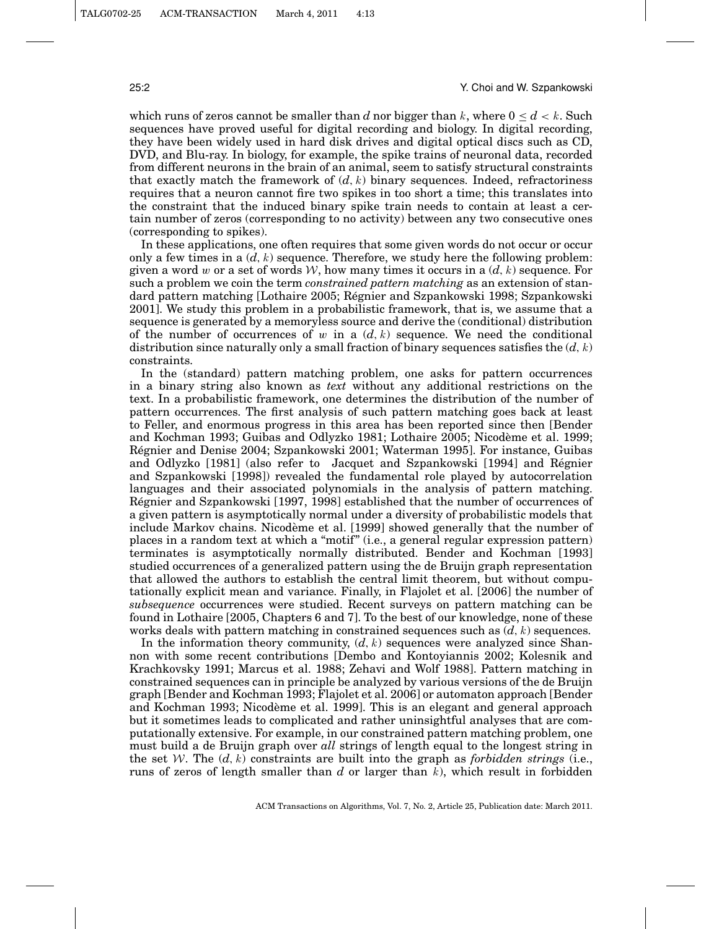#### 25:2 Y. Choi and W. Szpankowski

which runs of zeros cannot be smaller than *d* nor bigger than k, where  $0 \leq d \leq k$ . Such sequences have proved useful for digital recording and biology. In digital recording, they have been widely used in hard disk drives and digital optical discs such as CD, DVD, and Blu-ray. In biology, for example, the spike trains of neuronal data, recorded from different neurons in the brain of an animal, seem to satisfy structural constraints that exactly match the framework of  $(d, k)$  binary sequences. Indeed, refractoriness requires that a neuron cannot fire two spikes in too short a time; this translates into the constraint that the induced binary spike train needs to contain at least a certain number of zeros (corresponding to no activity) between any two consecutive ones (corresponding to spikes).

In these applications, one often requires that some given words do not occur or occur only a few times in a  $(d, k)$  sequence. Therefore, we study here the following problem: given a word w or a set of words  $W$ , how many times it occurs in a  $(d, k)$  sequence. For such a problem we coin the term *constrained pattern matching* as an extension of standard pattern matching [Lothaire 2005; Regnier and Szpankowski 1998; Szpankowski ´ 2001]. We study this problem in a probabilistic framework, that is, we assume that a sequence is generated by a memoryless source and derive the (conditional) distribution of the number of occurrences of  $w$  in a  $(d, k)$  sequence. We need the conditional distribution since naturally only a small fraction of binary sequences satisfies the  $(d, k)$ constraints.

In the (standard) pattern matching problem, one asks for pattern occurrences in a binary string also known as *text* without any additional restrictions on the text. In a probabilistic framework, one determines the distribution of the number of pattern occurrences. The first analysis of such pattern matching goes back at least to Feller, and enormous progress in this area has been reported since then [Bender and Kochman 1993; Guibas and Odlyzko 1981; Lothaire 2005; Nicodeme et al. 1999; ` Regnier and Denise 2004; Szpankowski 2001; Waterman 1995]. For instance, Guibas ´ and Odlyzko [1981] (also refer to Jacquet and Szpankowski [1994] and Regnier ´ and Szpankowski [1998]) revealed the fundamental role played by autocorrelation languages and their associated polynomials in the analysis of pattern matching. Regnier and Szpankowski [1997, 1998] established that the number of occurrences of ´ a given pattern is asymptotically normal under a diversity of probabilistic models that include Markov chains. Nicodeme et al. [1999] showed generally that the number of ` places in a random text at which a "motif" (i.e., a general regular expression pattern) terminates is asymptotically normally distributed. Bender and Kochman [1993] studied occurrences of a generalized pattern using the de Bruijn graph representation that allowed the authors to establish the central limit theorem, but without computationally explicit mean and variance. Finally, in Flajolet et al. [2006] the number of *subsequence* occurrences were studied. Recent surveys on pattern matching can be found in Lothaire [2005, Chapters 6 and 7]. To the best of our knowledge, none of these works deals with pattern matching in constrained sequences such as  $(d, k)$  sequences.

In the information theory community,  $(d, k)$  sequences were analyzed since Shannon with some recent contributions [Dembo and Kontoyiannis 2002; Kolesnik and Krachkovsky 1991; Marcus et al. 1988; Zehavi and Wolf 1988]. Pattern matching in constrained sequences can in principle be analyzed by various versions of the de Bruijn graph [Bender and Kochman 1993; Flajolet et al. 2006] or automaton approach [Bender and Kochman 1993; Nicodeme et al. 1999]. This is an elegant and general approach ` but it sometimes leads to complicated and rather uninsightful analyses that are computationally extensive. For example, in our constrained pattern matching problem, one must build a de Bruijn graph over *all* strings of length equal to the longest string in the set W. The  $(d, k)$  constraints are built into the graph as *forbidden strings* (i.e., runs of zeros of length smaller than *d* or larger than k), which result in forbidden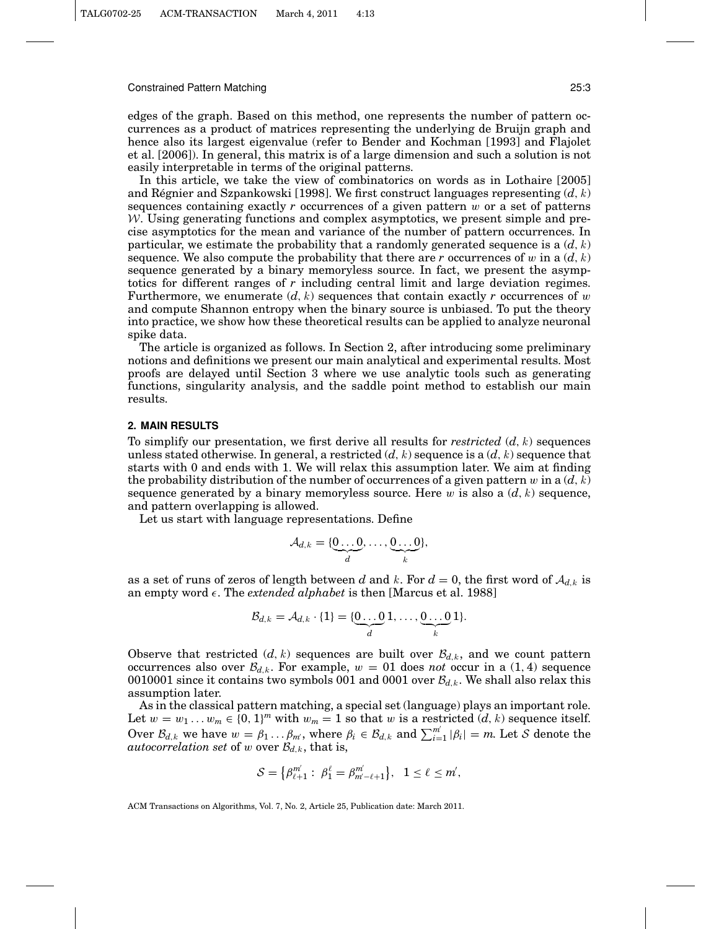edges of the graph. Based on this method, one represents the number of pattern occurrences as a product of matrices representing the underlying de Bruijn graph and hence also its largest eigenvalue (refer to Bender and Kochman [1993] and Flajolet et al. [2006]). In general, this matrix is of a large dimension and such a solution is not easily interpretable in terms of the original patterns.

In this article, we take the view of combinatorics on words as in Lothaire [2005] and Régnier and Szpankowski [1998]. We first construct languages representing  $(d, k)$ sequences containing exactly  $r$  occurrences of a given pattern  $w$  or a set of patterns  $W$ . Using generating functions and complex asymptotics, we present simple and precise asymptotics for the mean and variance of the number of pattern occurrences. In particular, we estimate the probability that a randomly generated sequence is a  $(d, k)$ sequence. We also compute the probability that there are  $r$  occurrences of  $w$  in a  $(d, k)$ sequence generated by a binary memoryless source. In fact, we present the asymptotics for different ranges of *r* including central limit and large deviation regimes. Furthermore, we enumerate  $(d, k)$  sequences that contain exactly r occurrences of w and compute Shannon entropy when the binary source is unbiased. To put the theory into practice, we show how these theoretical results can be applied to analyze neuronal spike data.

The article is organized as follows. In Section 2, after introducing some preliminary notions and definitions we present our main analytical and experimental results. Most proofs are delayed until Section 3 where we use analytic tools such as generating functions, singularity analysis, and the saddle point method to establish our main results.

### **2. MAIN RESULTS**

To simplify our presentation, we first derive all results for *restricted* (*d*, k) sequences unless stated otherwise. In general, a restricted  $(d, k)$  sequence is a  $(d, k)$  sequence that starts with 0 and ends with 1. We will relax this assumption later. We aim at finding the probability distribution of the number of occurrences of a given pattern  $w$  in a  $(d, k)$ sequence generated by a binary memoryless source. Here  $w$  is also a  $(d, k)$  sequence, and pattern overlapping is allowed.

Let us start with language representations. Define

$$
\mathcal{A}_{d,k} = \{\underbrace{0 \dots 0}_{d}, \dots, \underbrace{0 \dots 0}_{k}\},
$$

as a set of runs of zeros of length between *d* and *k*. For  $d = 0$ , the first word of  $A_{d,k}$  is an empty word  $\epsilon$ . The *extended alphabet* is then [Marcus et al. 1988]

$$
\mathcal{B}_{d,k} = \mathcal{A}_{d,k} \cdot \{1\} = \{\underbrace{0 \dots 0}_{d} 1, \dots, \underbrace{0 \dots 0}_{k} 1\}.
$$

Observe that restricted  $(d, k)$  sequences are built over  $\mathcal{B}_{d,k}$ , and we count pattern occurrences also over  $\mathcal{B}_{d,k}$ . For example,  $w = 01$  does *not* occur in a (1, 4) sequence 0010001 since it contains two symbols 001 and 0001 over  $B_{d,k}$ . We shall also relax this assumption later.

As in the classical pattern matching, a special set (language) plays an important role. Let  $w = w_1 \dots w_m \in \{0, 1\}^m$  with  $w_m = 1$  so that w is a restricted  $(d, k)$  sequence itself. Over  $\mathcal{B}_{d,k}$  we have  $w = \beta_1 \dots \beta_m$ , where  $\beta_i \in \mathcal{B}_{d,k}$  and  $\sum_{i=1}^{m'} |\beta_i| = m$ . Let S denote the *autocorrelation set* of w over  $\mathcal{B}_{d,k}$ , that is,

$$
\mathcal{S}=\left\{\beta_{\ell+1}^{m'}:\;\beta_1^\ell=\beta_{m'-\ell+1}^{m'}\right\},\quad 1\leq\ell\leq m',
$$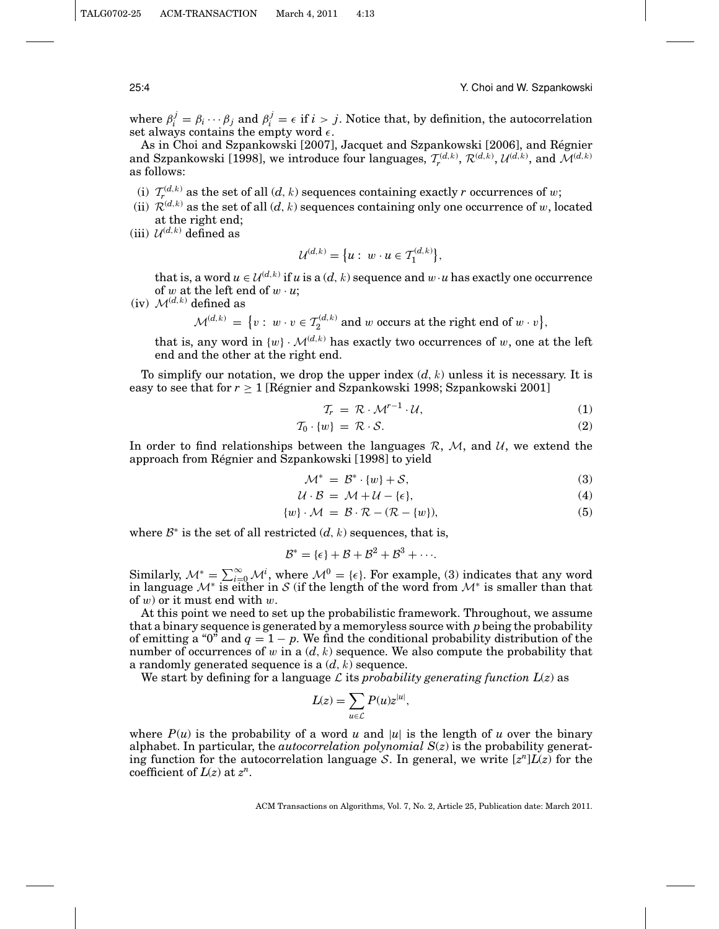where  $\beta_i^j = \beta_i \cdots \beta_j$  and  $\beta_i^j = \epsilon$  if  $i > j$ . Notice that, by definition, the autocorrelation set always contains the empty word  $\epsilon$ .

As in Choi and Szpankowski [2007], Jacquet and Szpankowski [2006], and Regnier ´ and Szpankowski [1998], we introduce four languages,  $\mathcal{T}_{r}^{(d,k)}, \mathcal{R}^{(d,k)}, \mathcal{U}^{(d,k)}$ , and  $\mathcal{M}^{(d,k)}$ as follows:

- (i)  $T_r^{(d,k)}$  as the set of all  $(d, k)$  sequences containing exactly *r* occurrences of w;
- (ii)  $\mathcal{R}^{(d,k)}$  as the set of all  $(d, k)$  sequences containing only one occurrence of w, located at the right end;
- (iii)  $\mathcal{U}^{(d,k)}$  defined as

$$
\mathcal{U}^{(d,k)} = \big\{ u : w \cdot u \in \mathcal{T}_1^{(d,k)} \big\},\
$$

that is, a word  $u \in \mathcal{U}^{(d,k)}$  if *u* is a  $(d, k)$  sequence and  $w \cdot u$  has exactly one occurrence of  $w$  at the left end of  $w \cdot u$ ;

(iv)  $\mathcal{M}^{(d,k)}$  defined as

 $\mathcal{M}^{(d,k)} = \{v : w \cdot v \in \mathcal{T}_2^{(d,k)} \text{ and } w \text{ occurs at the right end of } w \cdot v\},\$ 

that is, any word in  $\{w\} \cdot \mathcal{M}^{(d,k)}$  has exactly two occurrences of w, one at the left end and the other at the right end.

To simplify our notation, we drop the upper index  $(d, k)$  unless it is necessary. It is easy to see that for  $r \geq 1$  [Regnier and Szpankowski 1998; Szpankowski 2001]

$$
\mathcal{T}_r = \mathcal{R} \cdot \mathcal{M}^{r-1} \cdot \mathcal{U},\tag{1}
$$

$$
\mathcal{T}_0 \cdot \{w\} \ = \ \mathcal{R} \cdot \mathcal{S}.\tag{2}
$$

In order to find relationships between the languages  $\mathcal{R}, \mathcal{M}$ , and  $\mathcal{U}$ , we extend the approach from Regnier and Szpankowski [1998] to yield ´

$$
\mathcal{M}^* = \mathcal{B}^* \cdot \{w\} + \mathcal{S},\tag{3}
$$

$$
\mathcal{U} \cdot \mathcal{B} = \mathcal{M} + \mathcal{U} - \{\epsilon\},\tag{4}
$$

$$
\{w\} \cdot \mathcal{M} = \mathcal{B} \cdot \mathcal{R} - (\mathcal{R} - \{w\}),\tag{5}
$$

where  $\mathcal{B}^*$  is the set of all restricted  $(d, k)$  sequences, that is,

$$
\mathcal{B}^* = \{\epsilon\} + \mathcal{B} + \mathcal{B}^2 + \mathcal{B}^3 + \cdots
$$

Similarly,  $\mathcal{M}^* = \sum_{i=0}^{\infty} \mathcal{M}^i$ , where  $\mathcal{M}^0 = {\epsilon}$ . For example, (3) indicates that any word in language  $\mathcal{M}^*$  is either in S (if the length of the word from  $\mathcal{M}^*$  is smaller than that of  $w$ ) or it must end with  $w$ .

At this point we need to set up the probabilistic framework. Throughout, we assume that a binary sequence is generated by a memoryless source with *p*being the probability of emitting a " $0$ " and  $q = 1 - p$ . We find the conditional probability distribution of the number of occurrences of w in a  $(d, k)$  sequence. We also compute the probability that a randomly generated sequence is a (*d*, k) sequence.

We start by defining for a language  $\mathcal L$  its *probability generating function*  $L(z)$  as

$$
L(z) = \sum_{u \in \mathcal{L}} P(u) z^{|u|},
$$

where  $P(u)$  is the probability of a word *u* and |*u*| is the length of *u* over the binary alphabet. In particular, the *autocorrelation polynomial S*(*z*) is the probability generating function for the autocorrelation language S. In general, we write  $[z^n]L(z)$  for the coefficient of  $L(z)$  at  $z^n$ .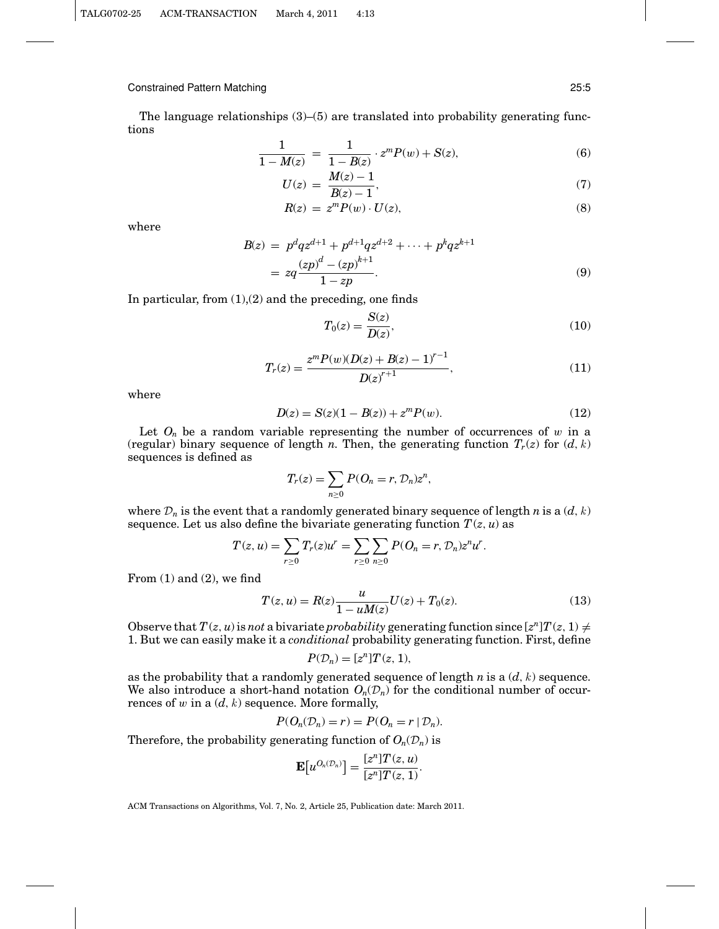The language relationships  $(3)$ – $(5)$  are translated into probability generating functions

$$
\frac{1}{1 - M(z)} = \frac{1}{1 - B(z)} \cdot z^m P(w) + S(z),\tag{6}
$$

$$
U(z) = \frac{M(z) - 1}{B(z) - 1},\tag{7}
$$

$$
R(z) = zm P(w) \cdot U(z), \tag{8}
$$

where

$$
B(z) = p^{d}qz^{d+1} + p^{d+1}qz^{d+2} + \dots + p^{k}qz^{k+1}
$$
  
=  $zq \frac{(zp)^{d} - (zp)^{k+1}}{1 - zp}$ . (9)

In particular, from  $(1)(2)$  and the preceding, one finds

$$
T_0(z) = \frac{S(z)}{D(z)},\tag{10}
$$

$$
T_r(z) = \frac{z^m P(w)(D(z) + B(z) - 1)^{r-1}}{D(z)^{r+1}},
$$
\n(11)

where

$$
D(z) = S(z)(1 - B(z)) + zm P(w).
$$
 (12)

Let  $O_n$  be a random variable representing the number of occurrences of  $w$  in a (regular) binary sequence of length *n*. Then, the generating function  $T_r(z)$  for  $(d, k)$ sequences is defined as

$$
T_r(z) = \sum_{n \geq 0} P(O_n = r, \mathcal{D}_n) z^n,
$$

where  $\mathcal{D}_n$  is the event that a randomly generated binary sequence of length *n* is a  $(d, k)$ sequence. Let us also define the bivariate generating function  $T(z, u)$  as

$$
T(z, u) = \sum_{r \ge 0} T_r(z) u^r = \sum_{r \ge 0} \sum_{n \ge 0} P(O_n = r, \mathcal{D}_n) z^n u^r.
$$

From  $(1)$  and  $(2)$ , we find

$$
T(z, u) = R(z) \frac{u}{1 - uM(z)} U(z) + T_0(z).
$$
 (13)

Observe that  $T(z, u)$  is *not* a bivariate *probability* generating function since  $[z^n]T(z, 1) \neq$ 1. But we can easily make it a *conditional* probability generating function. First, define

$$
P(\mathcal{D}_n) = [z^n]T(z, 1),
$$

as the probability that a randomly generated sequence of length *n* is a (*d*, k) sequence. We also introduce a short-hand notation  $O_n(\mathcal{D}_n)$  for the conditional number of occurrences of  $w$  in a  $(d, k)$  sequence. More formally,

$$
P(O_n(\mathcal{D}_n) = r) = P(O_n = r \mid \mathcal{D}_n).
$$

Therefore, the probability generating function of  $O_n(\mathcal{D}_n)$  is

$$
\mathbf{E}[u^{O_n(\mathcal{D}_n)}] = \frac{[z^n]T(z, u)}{[z^n]T(z, 1)}.
$$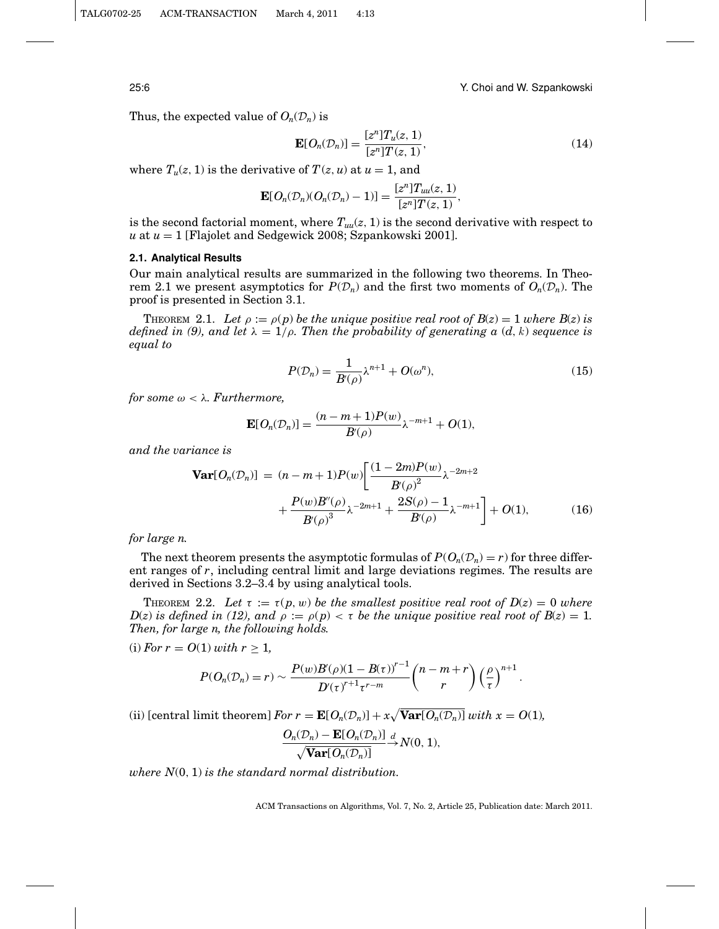25:6 Y. Choi and W. Szpankowski

Thus, the expected value of  $O_n(\mathcal{D}_n)$  is

$$
\mathbf{E}[O_n(\mathcal{D}_n)] = \frac{[z^n]T_u(z, 1)}{[z^n]T(z, 1)},\tag{14}
$$

where  $T_u(z, 1)$  is the derivative of  $T(z, u)$  at  $u = 1$ , and

$$
\mathbf{E}[O_n(\mathcal{D}_n)(O_n(\mathcal{D}_n)-1)] = \frac{[z^n]T_{uu}(z, 1)}{[z^n]T(z, 1)},
$$

is the second factorial moment, where  $T_{uu}(z, 1)$  is the second derivative with respect to *u* at *u* = 1 [Flajolet and Sedgewick 2008; Szpankowski 2001].

#### **2.1. Analytical Results**

Our main analytical results are summarized in the following two theorems. In Theorem 2.1 we present asymptotics for  $P(\mathcal{D}_n)$  and the first two moments of  $O_n(\mathcal{D}_n)$ . The proof is presented in Section 3.1.

THEOREM 2.1. Let  $\rho := \rho(p)$  be the unique positive real root of  $B(z) = 1$  where  $B(z)$  is *defined in (9), and let*  $\lambda = 1/\rho$ *. Then the probability of generating a (d, k) sequence is equal to*

$$
P(\mathcal{D}_n) = \frac{1}{B'(\rho)} \lambda^{n+1} + O(\omega^n),\tag{15}
$$

*for some*  $\omega < \lambda$ *. Furthermore,* 

$$
\mathbf{E}[O_n(\mathcal{D}_n)] = \frac{(n-m+1)P(w)}{B(\rho)}\lambda^{-m+1} + O(1),
$$

*and the variance is*

$$
\mathbf{Var}[O_n(\mathcal{D}_n)] = (n - m + 1)P(w) \left[ \frac{(1 - 2m)P(w)}{B(\rho)^2} \lambda^{-2m+2} + \frac{P(w)B''(\rho)}{B(\rho)^3} \lambda^{-2m+1} + \frac{2S(\rho) - 1}{B(\rho)} \lambda^{-m+1} \right] + O(1), \tag{16}
$$

*for large n.*

The next theorem presents the asymptotic formulas of  $P(O_n(\mathcal{D}_n) = r)$  for three different ranges of *r*, including central limit and large deviations regimes. The results are derived in Sections 3.2–3.4 by using analytical tools.

THEOREM 2.2. Let  $\tau := \tau(p, w)$  be the smallest positive real root of  $D(z) = 0$  where  $D(z)$  *is defined in (12), and*  $\rho := \rho(p) < \tau$  *be the unique positive real root of*  $B(z) = 1$ *. Then, for large n, the following holds.*

(i) *For*  $r = O(1)$  *with*  $r \geq 1$ *,* 

$$
P(O_n(\mathcal{D}_n)=r)\sim \frac{P(w)B'(\rho)(1-B(\tau))^{r-1}}{D'(\tau)^{r+1}\tau^{r-m}}\binom{n-m+r}{r}\left(\frac{\rho}{\tau}\right)^{n+1}.
$$

(ii) [central limit theorem] *For*  $r = \mathbf{E}[O_n(\mathcal{D}_n)] + x\sqrt{\text{Var}[O_n(\mathcal{D}_n)]}$  *with*  $x = O(1)$ *,* 

$$
\frac{O_n(\mathcal{D}_n) - \mathbf{E}[O_n(\mathcal{D}_n)]}{\sqrt{\mathbf{Var}[O_n(\mathcal{D}_n)]}} \stackrel{d}{\to} N(0, 1),
$$

*where N*(0, 1) *is the standard normal distribution.*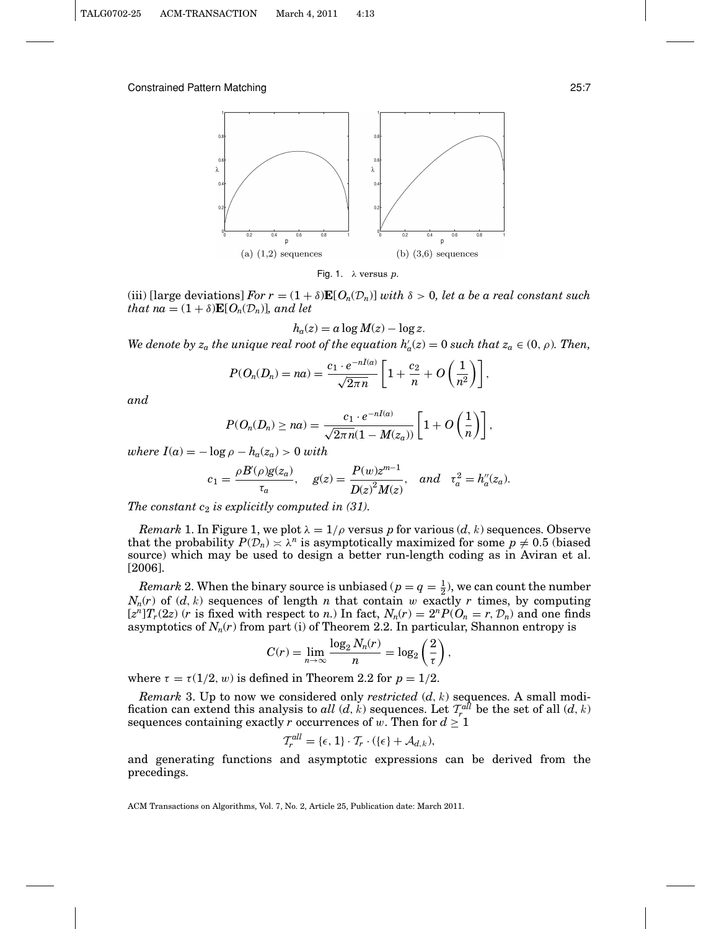

Fig. 1. λ versus *p*.

(iii) [large deviations] *For*  $r = (1 + \delta) \mathbf{E}[O_n(\mathcal{D}_n)]$  *with*  $\delta > 0$ *, let a be a real constant such that na* =  $(1 + \delta) \mathbf{E}[O_n(\mathcal{D}_n)]$ *, and let* 

$$
h_a(z) = a \log M(z) - \log z.
$$

*We denote by*  $z_a$  *the unique real root of the equation*  $h'_a(z) = 0$  *such that*  $z_a \in (0, \rho)$ *. Then,* 

$$
P(O_n(D_n)=na)=\frac{c_1\cdot e^{-nI(a)}}{\sqrt{2\pi n}}\left[1+\frac{c_2}{n}+O\left(\frac{1}{n^2}\right)\right],
$$

*and*

$$
P(O_n(D_n) \ge na) = \frac{c_1 \cdot e^{-nI(a)}}{\sqrt{2\pi n}(1 - M(z_a))} \left[1 + O\left(\frac{1}{n}\right)\right],
$$

*where*  $I(a) = -\log \rho - h_a(z_a) > 0$  *with* 

$$
c_1 = \frac{\rho B'(\rho)g(z_a)}{\tau_a}, \quad g(z) = \frac{P(w)z^{m-1}}{D(z)^2 M(z)}, \quad and \quad \tau_a^2 = h_a''(z_a).
$$

*The constant c*<sup>2</sup> *is explicitly computed in (31).*

*Remark* 1. In Figure 1, we plot  $\lambda = 1/\rho$  versus p for various  $(d, k)$  sequences. Observe that the probability  $P(\mathcal{D}_n) \times \lambda^n$  is asymptotically maximized for some  $p \neq 0.5$  (biased source) which may be used to design a better run-length coding as in Aviran et al. [2006].

*Remark* 2. When the binary source is unbiased ( $p = q = \frac{1}{2}$ ), we can count the number  $N_n(r)$  of  $(d, k)$  sequences of length *n* that contain w exactly *r* times, by computing  $[z<sup>n</sup>]T<sub>r</sub>(2z)$  (*r* is fixed with respect to *n*.) In fact,  $N<sub>n</sub>(r) = 2<sup>n</sup>P(O<sub>n</sub> = r, D<sub>n</sub>)$  and one finds asymptotics of  $N_n(r)$  from part (i) of Theorem 2.2. In particular, Shannon entropy is

$$
C(r) = \lim_{n \to \infty} \frac{\log_2 N_n(r)}{n} = \log_2 \left(\frac{2}{\tau}\right),
$$

where  $\tau = \tau(1/2, w)$  is defined in Theorem 2.2 for  $p = 1/2$ .

*Remark* 3. Up to now we considered only *restricted* (*d*, k) sequences. A small modification can extend this analysis to *all*  $(d, k)$  sequences. Let  $\mathcal{T}_r^{all}$  be the set of all  $(d, k)$ sequences containing exactly *r* occurrences of w. Then for  $d \geq 1$ 

$$
\mathcal{T}_r^{all} = \{\epsilon, 1\} \cdot \mathcal{T}_r \cdot (\{\epsilon\} + \mathcal{A}_{d,k}),
$$

and generating functions and asymptotic expressions can be derived from the precedings.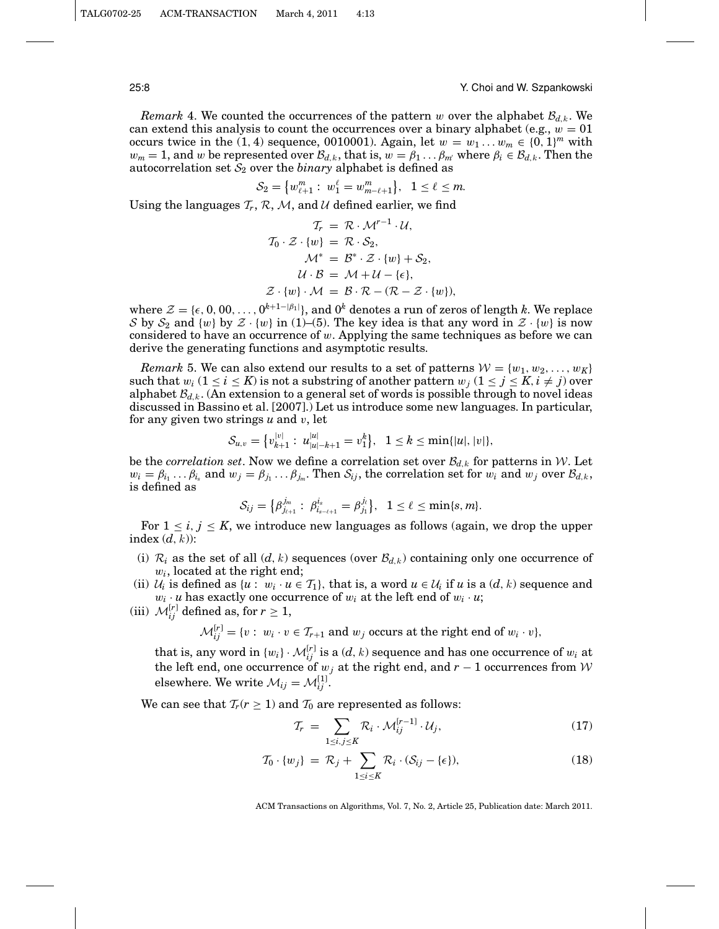25:8 Y. Choi and W. Szpankowski

*Remark* 4. We counted the occurrences of the pattern w over the alphabet  $\mathcal{B}_{d,k}$ . We can extend this analysis to count the occurrences over a binary alphabet (e.g.,  $w = 01$ ) occurs twice in the (1, 4) sequence, 0010001). Again, let  $w = w_1 \dots w_m \in \{0, 1\}^m$  with  $w_m = 1$ , and w be represented over  $\mathcal{B}_{d,k}$ , that is,  $w = \beta_1 \dots \beta_m$  where  $\beta_i \in \mathcal{B}_{d,k}$ . Then the autocorrelation set  $S_2$  over the *binary* alphabet is defined as

$$
\mathcal{S}_2 = \big\{ w_{\ell+1}^m : \ w_1^{\ell} = w_{m-\ell+1}^m \big\}, \quad 1 \leq \ell \leq m.
$$

Using the languages  $\mathcal{T}_r$ ,  $\mathcal{R}$ ,  $\mathcal{M}$ , and  $\mathcal{U}$  defined earlier, we find

$$
T_r = \mathcal{R} \cdot \mathcal{M}^{r-1} \cdot \mathcal{U},
$$
  
\n
$$
T_0 \cdot \mathcal{Z} \cdot \{w\} = \mathcal{R} \cdot \mathcal{S}_2,
$$
  
\n
$$
\mathcal{M}^* = \mathcal{B}^* \cdot \mathcal{Z} \cdot \{w\} + \mathcal{S}_2,
$$
  
\n
$$
\mathcal{U} \cdot \mathcal{B} = \mathcal{M} + \mathcal{U} - \{\epsilon\},
$$
  
\n
$$
\mathcal{Z} \cdot \{w\} \cdot \mathcal{M} = \mathcal{B} \cdot \mathcal{R} - (\mathcal{R} - \mathcal{Z} \cdot \{w\}),
$$

where  $\mathcal{Z} = \{\epsilon, 0, 00, \ldots, 0^{k+1-|\beta_1|}\}$ , and  $0^k$  denotes a run of zeros of length k. We replace S by  $S_2$  and  $\{w\}$  by  $\mathcal{Z} \cdot \{w\}$  in (1)–(5). The key idea is that any word in  $\mathcal{Z} \cdot \{w\}$  is now considered to have an occurrence of  $w$ . Applying the same techniques as before we can derive the generating functions and asymptotic results.

*Remark* 5. We can also extend our results to a set of patterns  $W = \{w_1, w_2, \ldots, w_K\}$ such that  $w_i$  ( $1 \le i \le K$ ) is not a substring of another pattern  $w_j$  ( $1 \le j \le K$ ,  $i \ne j$ ) over alphabet  $\mathcal{B}_{d,k}$ . (An extension to a general set of words is possible through to novel ideas discussed in Bassino et al. [2007].) Let us introduce some new languages. In particular, for any given two strings *u* and v, let

$$
\mathcal{S}_{u,v} = \big\{ v_{k+1}^{|v|} : u_{|u|-k+1}^{|u|} = v_1^k \big\}, \quad 1 \leq k \leq \min\{|u|, |v|\},\
$$

be the *correlation set*. Now we define a correlation set over  $\mathcal{B}_{d,k}$  for patterns in W. Let  $w_i = \beta_{i_1} \dots \beta_{i_s}$  and  $w_j = \beta_{j_1} \dots \beta_{j_m}$ . Then  $S_{ij}$ , the correlation set for  $w_i$  and  $w_j$  over  $\mathcal{B}_{d,k}$ , is defined as

$$
\mathcal{S}_{ij} = \big\{\beta_{j_{\ell+1}}^{j_m}:\; \beta_{i_{s-\ell+1}}^{i_s} = \beta_{j_1}^{j_\ell}\big\},\;\; 1 \leq \ell \leq \min\{s,m\}.
$$

For  $1 \leq i, j \leq K$ , we introduce new languages as follows (again, we drop the upper index  $(d, k)$ :

- (i)  $\mathcal{R}_i$  as the set of all  $(d, k)$  sequences (over  $\mathcal{B}_{d,k}$ ) containing only one occurrence of w*i*, located at the right end;
- (ii)  $U_i$  is defined as  $\{u : w_i \cdot u \in T_1\}$ , that is, a word  $u \in U_i$  if  $u$  is a  $(d, k)$  sequence and  $w_i \cdot u$  has exactly one occurrence of  $w_i$  at the left end of  $w_i \cdot u$ ;
- (iii)  $\mathcal{M}_{ij}^{[r]}$  defined as, for  $r \geq 1$ ,

$$
\mathcal{M}_{ij}^{[r]} = \{v : w_i \cdot v \in \mathcal{T}_{r+1} \text{ and } w_j \text{ occurs at the right end of } w_i \cdot v\},
$$

that is, any word in  $\{w_i\} \cdot \mathcal{M}_{ij}^{[r]}$  is a  $(d, k)$  sequence and has one occurrence of  $w_i$  at the left end, one occurrence of  $w_j$  at the right end, and  $r-1$  occurrences from W elsewhere. We write  $\mathcal{M}_{ij} = \mathcal{M}_{ij}^{[1]}$ .

We can see that  $T_r(r \geq 1)$  and  $T_0$  are represented as follows:

$$
\mathcal{T}_r = \sum_{1 \le i,j \le K} \mathcal{R}_i \cdot \mathcal{M}_{ij}^{[r-1]} \cdot \mathcal{U}_j,\tag{17}
$$

$$
\mathcal{T}_0 \cdot \{w_j\} = \mathcal{R}_j + \sum_{1 \le i \le K} \mathcal{R}_i \cdot (\mathcal{S}_{ij} - \{\epsilon\}),\tag{18}
$$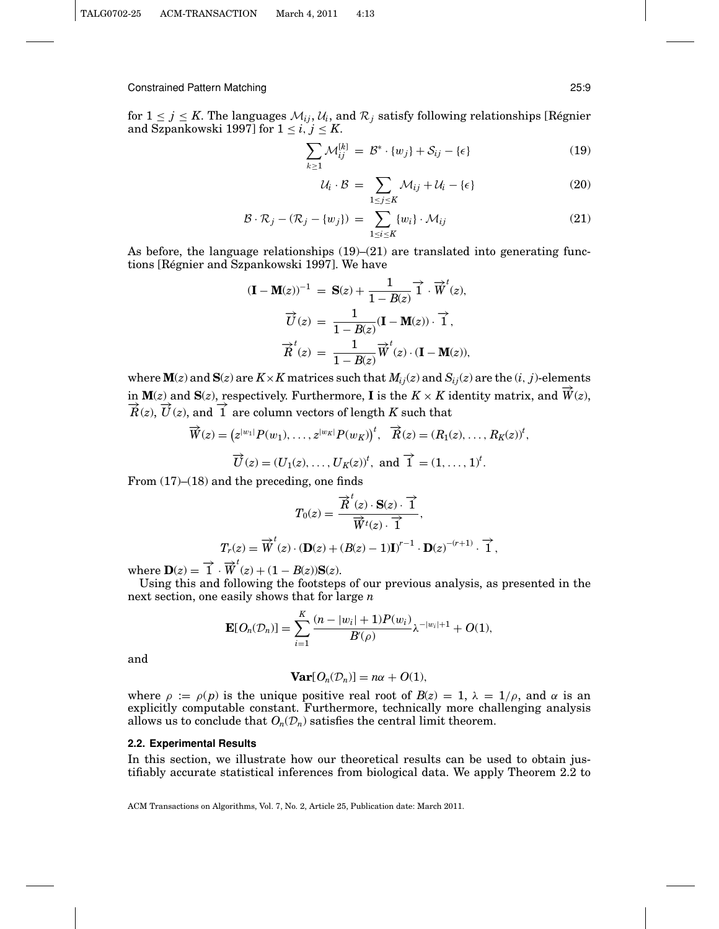for  $1 \leq j \leq K$ . The languages  $\mathcal{M}_{ij}$ ,  $\mathcal{U}_i$ , and  $\mathcal{R}_j$  satisfy following relationships [Régnier and Szpankowski 1997] for  $1 \le i, j \le K$ .

$$
\sum_{k\geq 1} \mathcal{M}_{ij}^{[k]} = \mathcal{B}^* \cdot \{w_j\} + \mathcal{S}_{ij} - \{\epsilon\}
$$
 (19)

$$
\mathcal{U}_i \cdot \mathcal{B} = \sum_{1 \le j \le K} \mathcal{M}_{ij} + \mathcal{U}_i - \{\epsilon\} \tag{20}
$$

$$
\mathcal{B} \cdot \mathcal{R}_j - (\mathcal{R}_j - \{w_j\}) = \sum_{1 \le i \le K} \{w_i\} \cdot \mathcal{M}_{ij} \tag{21}
$$

As before, the language relationships (19)–(21) are translated into generating functions [Régnier and Szpankowski 1997]. We have

$$
(\mathbf{I} - \mathbf{M}(z))^{-1} = \mathbf{S}(z) + \frac{1}{1 - B(z)} \vec{1} \cdot \vec{W}^{t}(z),
$$

$$
\vec{U}(z) = \frac{1}{1 - B(z)} (\mathbf{I} - \mathbf{M}(z)) \cdot \vec{1},
$$

$$
\vec{R}^{t}(z) = \frac{1}{1 - B(z)} \vec{W}^{t}(z) \cdot (\mathbf{I} - \mathbf{M}(z)),
$$

where  $\mathbf{M}(z)$  and  $\mathbf{S}(z)$  are  $K \times K$  matrices such that  $M_{ij}(z)$  and  $S_{ij}(z)$  are the  $(i, j)$ -elements in  $\mathbf{M}(z)$  and  $\mathbf{S}(z)$ , respectively. Furthermore, **I** is the  $K \times K$  identity matrix, and  $\hat{W}(z)$ ,  $\overrightarrow{R}(z)$ ,  $\overrightarrow{U}(z)$ , and  $\overrightarrow{1}$  are column vectors of length  $K$  such that

$$
\overrightarrow{W}(z) = (z^{|w_1|} P(w_1), \dots, z^{|w_K|} P(w_K))^t, \quad \overrightarrow{R}(z) = (R_1(z), \dots, R_K(z))^t,
$$
  

$$
\overrightarrow{U}(z) = (U_1(z), \dots, U_K(z))^t, \text{ and } \overrightarrow{1} = (1, \dots, 1)^t.
$$

From  $(17)$ – $(18)$  and the preceding, one finds

$$
T_0(z) = \frac{\overrightarrow{R}^t(z) \cdot \mathbf{S}(z) \cdot \overrightarrow{1}}{\overrightarrow{W}^t(z) \cdot \overrightarrow{1}},
$$
  

$$
T_r(z) = \overrightarrow{W}^t(z) \cdot (\mathbf{D}(z) + (B(z) - 1)\mathbf{I})^{r-1} \cdot \mathbf{D}(z)^{-(r+1)} \cdot \overrightarrow{1},
$$

where  $\mathbf{D}(z) = \overrightarrow{1} \cdot \overrightarrow{W}^t(z) + (1 - B(z))\mathbf{S}(z)$ .

Using this and following the footsteps of our previous analysis, as presented in the next section, one easily shows that for large *n*

$$
\mathbf{E}[O_n(\mathcal{D}_n)] = \sum_{i=1}^K \frac{(n-|w_i|+1)P(w_i)}{B'(\rho)} \lambda^{-|w_i|+1} + O(1),
$$

and

$$
\mathbf{Var}[O_n(\mathcal{D}_n)] = n\alpha + O(1),
$$

where  $\rho := \rho(p)$  is the unique positive real root of  $B(z) = 1$ ,  $\lambda = 1/\rho$ , and  $\alpha$  is an explicitly computable constant. Furthermore, technically more challenging analysis allows us to conclude that  $O_n(\mathcal{D}_n)$  satisfies the central limit theorem.

#### **2.2. Experimental Results**

In this section, we illustrate how our theoretical results can be used to obtain justifiably accurate statistical inferences from biological data. We apply Theorem 2.2 to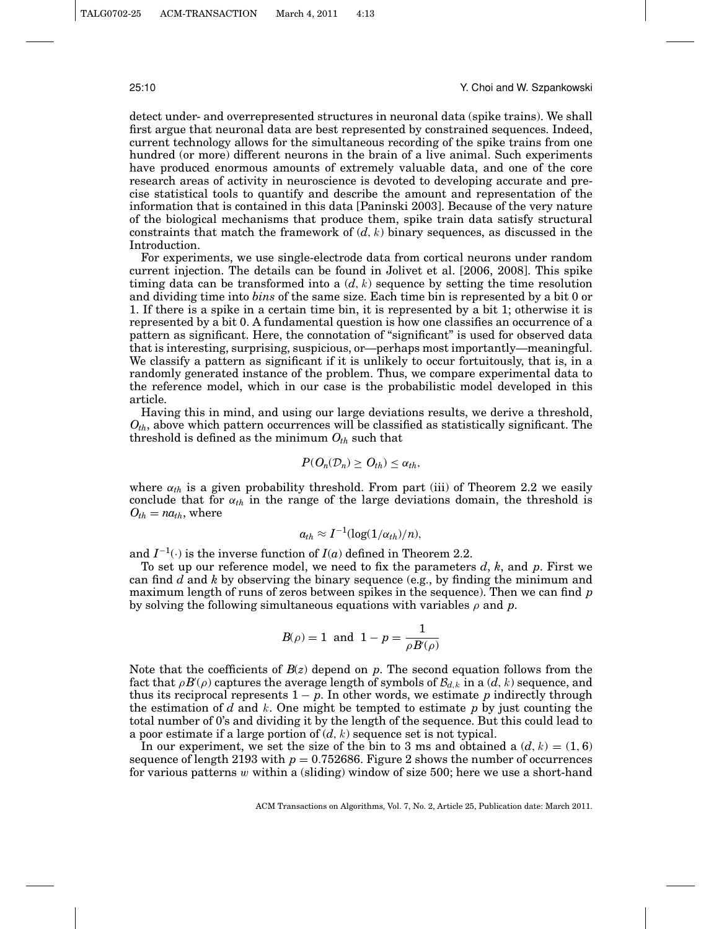#### 25:10 Y. Choi and W. Szpankowski

detect under- and overrepresented structures in neuronal data (spike trains). We shall first argue that neuronal data are best represented by constrained sequences. Indeed, current technology allows for the simultaneous recording of the spike trains from one hundred (or more) different neurons in the brain of a live animal. Such experiments have produced enormous amounts of extremely valuable data, and one of the core research areas of activity in neuroscience is devoted to developing accurate and precise statistical tools to quantify and describe the amount and representation of the information that is contained in this data [Paninski 2003]. Because of the very nature of the biological mechanisms that produce them, spike train data satisfy structural constraints that match the framework of  $(d, k)$  binary sequences, as discussed in the Introduction.

For experiments, we use single-electrode data from cortical neurons under random current injection. The details can be found in Jolivet et al. [2006, 2008]. This spike timing data can be transformed into a  $(d, k)$  sequence by setting the time resolution and dividing time into *bins* of the same size. Each time bin is represented by a bit 0 or 1. If there is a spike in a certain time bin, it is represented by a bit 1; otherwise it is represented by a bit 0. A fundamental question is how one classifies an occurrence of a pattern as significant. Here, the connotation of "significant" is used for observed data that is interesting, surprising, suspicious, or—perhaps most importantly—meaningful. We classify a pattern as significant if it is unlikely to occur fortuitously, that is, in a randomly generated instance of the problem. Thus, we compare experimental data to the reference model, which in our case is the probabilistic model developed in this article.

Having this in mind, and using our large deviations results, we derive a threshold, *Oth*, above which pattern occurrences will be classified as statistically significant. The threshold is defined as the minimum  $O_{th}$  such that

$$
P(O_n(\mathcal{D}_n) \geq O_{th}) \leq \alpha_{th},
$$

where  $\alpha_{th}$  is a given probability threshold. From part (iii) of Theorem 2.2 we easily conclude that for  $\alpha_{th}$  in the range of the large deviations domain, the threshold is  $O_{th} = na_{th}$ , where

$$
a_{th} \approx I^{-1}(\log(1/\alpha_{th})/n),
$$

and  $I^{-1}(.)$  is the inverse function of  $I(a)$  defined in Theorem 2.2.

To set up our reference model, we need to fix the parameters *d*, *k*, and *p*. First we can find *d* and *k* by observing the binary sequence (e.g., by finding the minimum and maximum length of runs of zeros between spikes in the sequence). Then we can find *p* by solving the following simultaneous equations with variables  $\rho$  and  $p$ .

$$
B(\rho) = 1
$$
 and  $1 - p = \frac{1}{\rho B'(\rho)}$ 

Note that the coefficients of *B*(*z*) depend on *p*. The second equation follows from the fact that  $\rho B(\rho)$  captures the average length of symbols of  $\mathcal{B}_{d,k}$  in a  $(d, k)$  sequence, and thus its reciprocal represents  $1 - p$ . In other words, we estimate p indirectly through the estimation of *d* and k. One might be tempted to estimate *p* by just counting the total number of 0's and dividing it by the length of the sequence. But this could lead to a poor estimate if a large portion of  $(d, k)$  sequence set is not typical.

In our experiment, we set the size of the bin to 3 ms and obtained a  $(d, k) = (1, 6)$ sequence of length 2193 with  $p = 0.752686$ . Figure 2 shows the number of occurrences for various patterns  $w$  within a (sliding) window of size 500; here we use a short-hand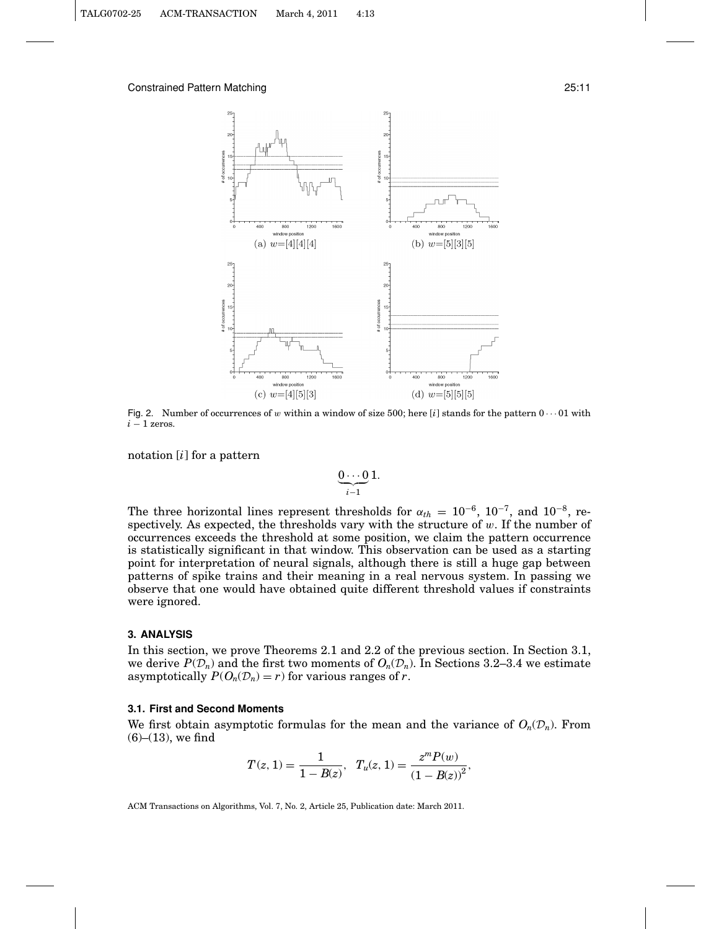

Fig. 2. Number of occurrences of w within a window of size 500; here [ $i$ ] stands for the pattern  $0 \cdots 01$  with *i* − 1 zeros.

notation [*i*] for a pattern

$$
\underbrace{0\cdots 0}_{i-1}1.
$$

The three horizontal lines represent thresholds for  $\alpha_{th} = 10^{-6}$ ,  $10^{-7}$ , and  $10^{-8}$ , respectively. As expected, the thresholds vary with the structure of  $w$ . If the number of occurrences exceeds the threshold at some position, we claim the pattern occurrence is statistically significant in that window. This observation can be used as a starting point for interpretation of neural signals, although there is still a huge gap between patterns of spike trains and their meaning in a real nervous system. In passing we observe that one would have obtained quite different threshold values if constraints were ignored.

#### **3. ANALYSIS**

In this section, we prove Theorems 2.1 and 2.2 of the previous section. In Section 3.1, we derive  $P(\mathcal{D}_n)$  and the first two moments of  $O_n(\mathcal{D}_n)$ . In Sections 3.2–3.4 we estimate asymptotically  $P(O_n(\mathcal{D}_n) = r)$  for various ranges of *r*.

### **3.1. First and Second Moments**

We first obtain asymptotic formulas for the mean and the variance of  $O_n(\mathcal{D}_n)$ . From  $(6)–(13)$ , we find

$$
T(z, 1) = \frac{1}{1 - B(z)}, \quad T_u(z, 1) = \frac{z^m P(w)}{(1 - B(z))^2},
$$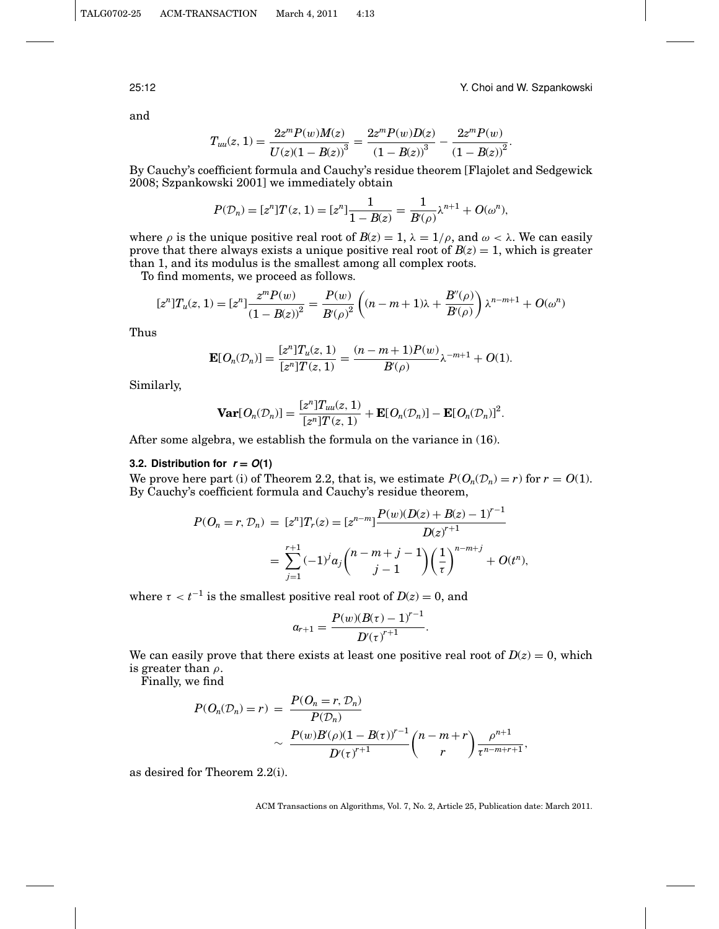25:12 Y. Choi and W. Szpankowski

.

and

$$
T_{uu}(z, 1) = \frac{2z^{m}P(w)M(z)}{U(z)(1 - B(z))^{3}} = \frac{2z^{m}P(w)D(z)}{(1 - B(z))^{3}} - \frac{2z^{m}P(w)}{(1 - B(z))^{2}}.
$$

By Cauchy's coefficient formula and Cauchy's residue theorem [Flajolet and Sedgewick 2008; Szpankowski 2001] we immediately obtain

$$
P(\mathcal{D}_n) = [z^n]T(z, 1) = [z^n] \frac{1}{1 - B(z)} = \frac{1}{B'(\rho)} \lambda^{n+1} + O(\omega^n),
$$

where  $\rho$  is the unique positive real root of  $B(z) = 1$ ,  $\lambda = 1/\rho$ , and  $\omega < \lambda$ . We can easily prove that there always exists a unique positive real root of  $B(z) = 1$ , which is greater than 1, and its modulus is the smallest among all complex roots.

To find moments, we proceed as follows.

$$
[z^n]T_u(z,1)=[z^n]\frac{z^mP(w)}{{(1-B(z))}^2}=\frac{P(w)}{B({\rho})^2}\left((n-m+1)\lambda+\frac{B''({\rho})}{B({\rho})}\right)\lambda^{n-m+1}+O({\omega}^n)
$$

Thus

$$
\mathbf{E}[O_n(\mathcal{D}_n)] = \frac{[z^n]T_u(z,1)}{[z^n]T(z,1)} = \frac{(n-m+1)P(w)}{B(\rho)}\lambda^{-m+1} + O(1).
$$

Similarly,

$$
\mathbf{Var}[O_n(\mathcal{D}_n)] = \frac{[z^n]T_{uu}(z, 1)}{[z^n]T(z, 1)} + \mathbf{E}[O_n(\mathcal{D}_n)] - \mathbf{E}[O_n(\mathcal{D}_n)]^2
$$

After some algebra, we establish the formula on the variance in (16).

### **3.2. Distribution for**  $r = O(1)$

We prove here part (i) of Theorem 2.2, that is, we estimate  $P(O_n(D_n) = r)$  for  $r = O(1)$ . By Cauchy's coefficient formula and Cauchy's residue theorem,

$$
P(O_n = r, D_n) = [z^n]T_r(z) = [z^{n-m}] \frac{P(w)(D(z) + B(z) - 1)^{r-1}}{D(z)^{r+1}}
$$
  
= 
$$
\sum_{j=1}^{r+1} (-1)^j a_j {n-m+j \choose j-1} \left(\frac{1}{\tau}\right)^{n-m+j} + O(t^n),
$$

where  $\tau < t^{-1}$  is the smallest positive real root of  $D(z) = 0$ , and

$$
a_{r+1} = \frac{P(w)(B(\tau) - 1)^{r-1}}{D'(\tau)^{r+1}}.
$$

We can easily prove that there exists at least one positive real root of  $D(z) = 0$ , which is greater than  $\rho$ .

Finally, we find

$$
P(O_n(D_n) = r) = \frac{P(O_n = r, D_n)}{P(D_n)}
$$
  
 
$$
\sim \frac{P(w)B'(\rho)(1 - B(\tau))^{r-1}}{D'(\tau)^{r+1}} \binom{n-m+r}{r} \frac{\rho^{n+1}}{\tau^{n-m+r+1}},
$$

as desired for Theorem 2.2(i).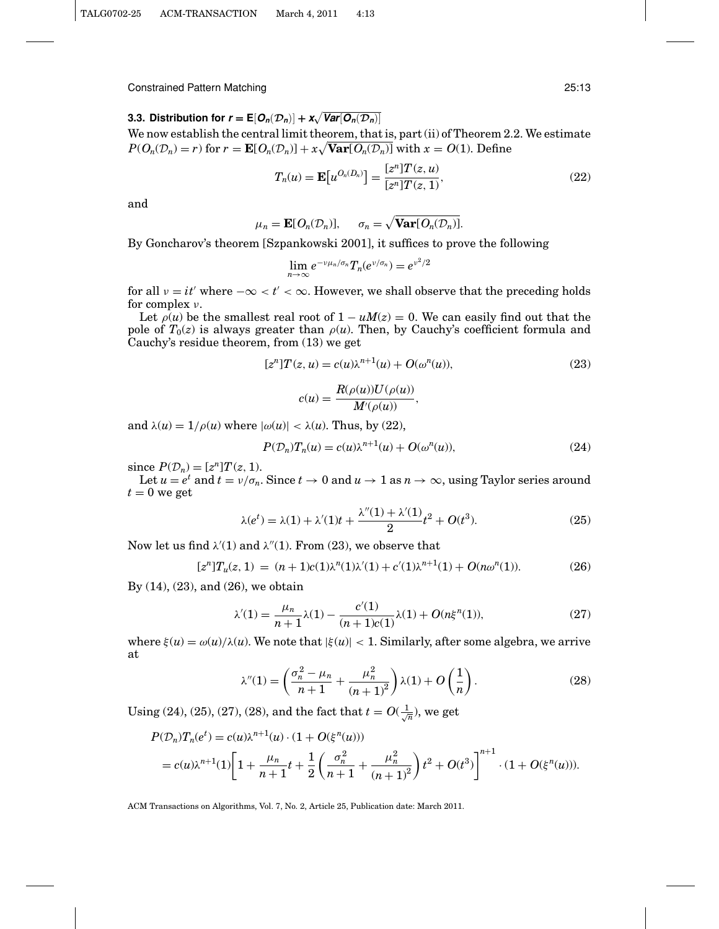**3.3. Distribution for**  $r = \mathbb{E}[\mathcal{O}_n(\mathcal{D}_n)] + \mathbf{x}\sqrt{\text{Var}[\mathcal{O}_n(\mathcal{D}_n)]}$ We now establish the central limit theorem, that is, part (ii) of Theorem 2.2. We estimate  $P(O_n(\mathcal{D}_n) = r)$  for  $r = \mathbf{E}[O_n(\mathcal{D}_n)] + x\sqrt{\mathbf{Var}[O_n(\mathcal{D}_n)]}$  with  $x = O(1)$ . Define

$$
T_n(u) = \mathbf{E}[u^{O_n(D_n)}] = \frac{[z^n]T(z, u)}{[z^n]T(z, 1)},
$$
\n(22)

and

$$
\mu_n = \mathbf{E}[O_n(\mathcal{D}_n)], \quad \sigma_n = \sqrt{\mathbf{Var}[O_n(\mathcal{D}_n)]}.
$$

By Goncharov's theorem [Szpankowski 2001], it suffices to prove the following

$$
\lim_{n\to\infty}e^{-\nu\mu_n/\sigma_n}T_n(e^{\nu/\sigma_n})=e^{\nu^2/2}
$$

for all  $v = it'$  where  $-\infty < t' < \infty$ . However, we shall observe that the preceding holds for complex ν.

Let  $\rho(u)$  be the smallest real root of  $1 - uM(z) = 0$ . We can easily find out that the pole of  $T_0(z)$  is always greater than  $\rho(u)$ . Then, by Cauchy's coefficient formula and Cauchy's residue theorem, from (13) we get

$$
[zn]T(z, u) = c(u)\lambda^{n+1}(u) + O(\omega^{n}(u)),
$$
\n(23)

$$
c(u) = \frac{R(\rho(u))U(\rho(u))}{M'(\rho(u))},
$$

and  $\lambda(u) = 1/\rho(u)$  where  $|\omega(u)| < \lambda(u)$ . Thus, by (22),

$$
P(\mathcal{D}_n)T_n(u) = c(u)\lambda^{n+1}(u) + O(\omega^n(u)),\tag{24}
$$

since  $P(\mathcal{D}_n) = [z^n]T(z, 1).$ 

Let  $u = e^t$  and  $t = v/\sigma_n$ . Since  $t \to 0$  and  $u \to 1$  as  $n \to \infty$ , using Taylor series around  $t = 0$  we get

$$
\lambda(e^t) = \lambda(1) + \lambda'(1)t + \frac{\lambda''(1) + \lambda'(1)}{2}t^2 + O(t^3).
$$
 (25)

Now let us find  $\lambda'(1)$  and  $\lambda''(1)$ . From (23), we observe that

$$
[z^{n}]T_{u}(z, 1) = (n+1)c(1)\lambda^{n}(1)\lambda'(1) + c'(1)\lambda^{n+1}(1) + O(n\omega^{n}(1)).
$$
\n(26)

By (14), (23), and (26), we obtain

$$
\lambda'(1) = \frac{\mu_n}{n+1} \lambda(1) - \frac{c'(1)}{(n+1)c(1)} \lambda(1) + O(n\xi^n(1)),\tag{27}
$$

where  $\xi(u) = \omega(u)/\lambda(u)$ . We note that  $|\xi(u)| < 1$ . Similarly, after some algebra, we arrive at

$$
\lambda''(1) = \left(\frac{\sigma_n^2 - \mu_n}{n+1} + \frac{\mu_n^2}{(n+1)^2}\right) \lambda(1) + O\left(\frac{1}{n}\right). \tag{28}
$$

Using (24), (25), (27), (28), and the fact that  $t = O(\frac{1}{\sqrt{n}})$ , we get

$$
P(\mathcal{D}_n)T_n(e^t) = c(u)\lambda^{n+1}(u) \cdot (1 + O(\xi^n(u)))
$$
  
=  $c(u)\lambda^{n+1}(1)\left[1 + \frac{\mu_n}{n+1}t + \frac{1}{2}\left(\frac{\sigma_n^2}{n+1} + \frac{\mu_n^2}{(n+1)^2}\right)t^2 + O(t^3)\right]^{n+1} \cdot (1 + O(\xi^n(u))).$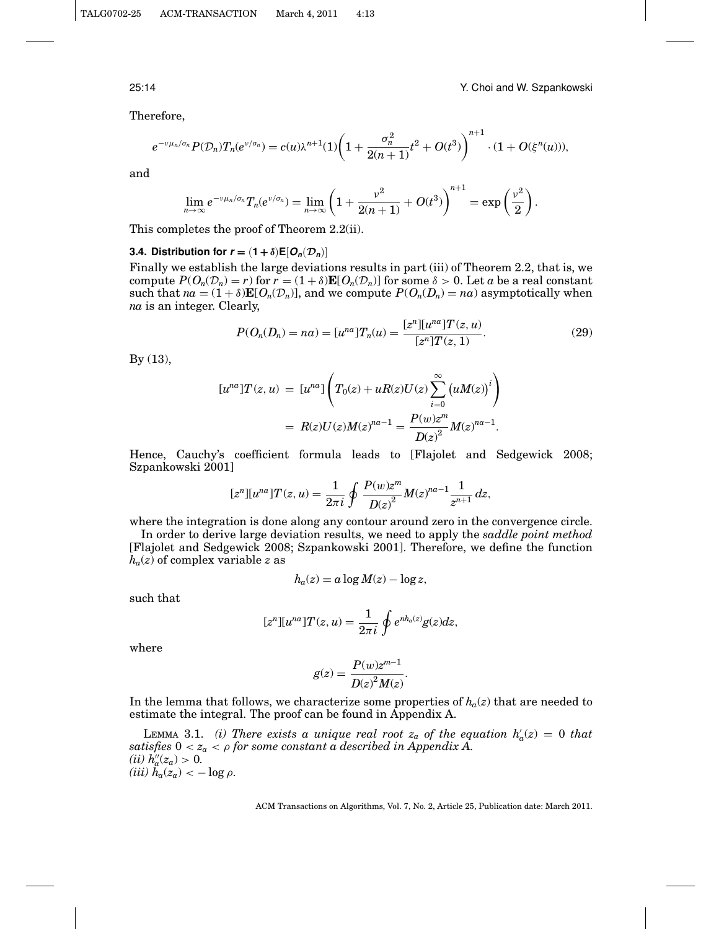25:14 Y. Choi and W. Szpankowski

Therefore,

$$
e^{-\nu\mu_n/\sigma_n}P(\mathcal{D}_n)T_n(e^{\nu/\sigma_n})=c(u)\lambda^{n+1}(1)\bigg(1+\frac{\sigma_n^2}{2(n+1)}t^2+O(t^3)\bigg)^{n+1}\cdot(1+O(\xi^n(u))),
$$

and

$$
\lim_{n\to\infty}e^{-\nu\mu_n/\sigma_n}T_n(e^{\nu/\sigma_n})=\lim_{n\to\infty}\left(1+\frac{\nu^2}{2(n+1)}+O(t^3)\right)^{n+1}=\exp\left(\frac{\nu^2}{2}\right).
$$

This completes the proof of Theorem 2.2(ii).

### **3.4. Distribution for**  $\mathbf{r} = (1 + \delta) \mathbf{E}[\mathbf{O}_n(\mathcal{D}_n)]$

Finally we establish the large deviations results in part (iii) of Theorem 2.2, that is, we compute  $P(O_n(\mathcal{D}_n) = r)$  for  $r = (1 + \delta) \mathbf{E}[O_n(\mathcal{D}_n)]$  for some  $\delta > 0$ . Let *a* be a real constant such that  $na = (1 + \delta) \mathbf{E}[O_n(\mathcal{D}_n)]$ , and we compute  $P(O_n(D_n) = na)$  asymptotically when *na* is an integer. Clearly,

$$
P(O_n(D_n) = na) = [u^{na}]T_n(u) = \frac{[z^n][u^{na}]T(z, u)}{[z^n]T(z, 1)}.
$$
\n(29)

By (13),

$$
[u^{na}]T(z, u) = [u^{na}]\left(T_0(z) + uR(z)U(z)\sum_{i=0}^{\infty} (uM(z))^i\right)
$$
  
= 
$$
R(z)U(z)M(z)^{na-1} = \frac{P(w)z^m}{D(z)^2}M(z)^{na-1}.
$$

Hence, Cauchy's coefficient formula leads to [Flajolet and Sedgewick 2008; Szpankowski 2001]

$$
[z^n][u^{na}]T(z,u) = \frac{1}{2\pi i} \oint \frac{P(w)z^m}{D(z)^2} M(z)^{na-1} \frac{1}{z^{n+1}} dz,
$$

where the integration is done along any contour around zero in the convergence circle.

In order to derive large deviation results, we need to apply the *saddle point method* [Flajolet and Sedgewick 2008; Szpankowski 2001]. Therefore, we define the function  $h_a(z)$  of complex variable *z* as

$$
h_a(z) = a \log M(z) - \log z,
$$

such that

$$
[zn][una]T(z, u) = \frac{1}{2\pi i} \oint e^{nh_a(z)}g(z)dz,
$$

where

$$
g(z) = \frac{P(w)z^{m-1}}{D(z)^2 M(z)}.
$$

In the lemma that follows, we characterize some properties of  $h_a(z)$  that are needed to estimate the integral. The proof can be found in Appendix A.

LEMMA 3.1. *(i)* There exists a unique real root  $z_a$  of the equation  $h'_a(z) = 0$  that *satisfies*  $0 < z_a < \rho$  *for some constant a described in Appendix A. (ii)*  $h''_a(z_a) > 0$ .  $(iii)$   $\ddot{h}_a(z_a) < -\log \rho$ .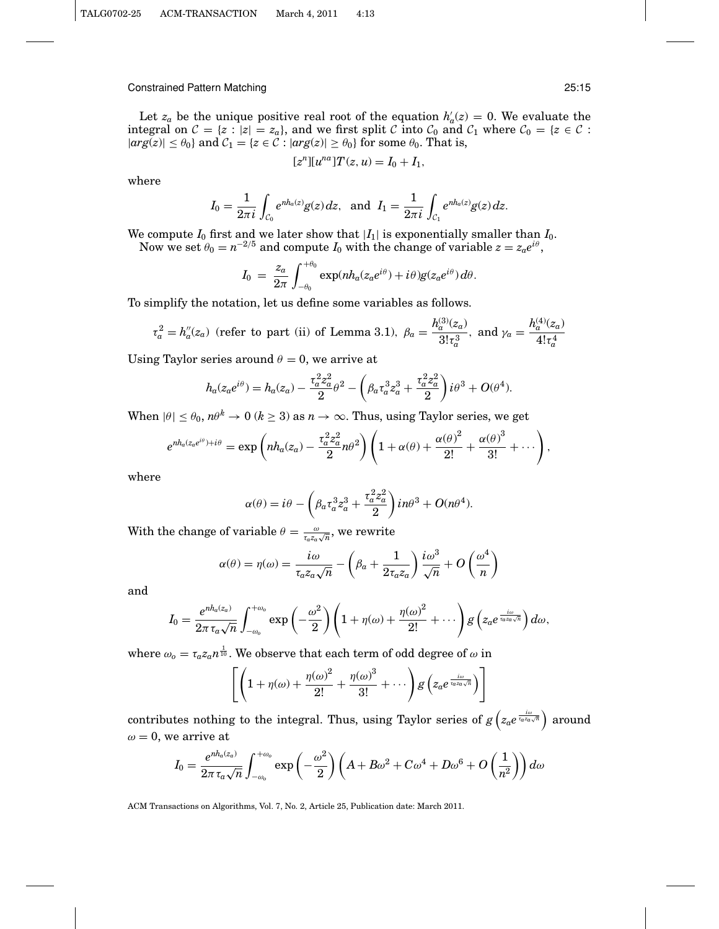Let  $z_a$  be the unique positive real root of the equation  $h'_a(z) = 0$ . We evaluate the integral on  $C = \{z : |z| = z_a\}$ , and we first split C into  $C_0$  and  $C_1$  where  $C_0 = \{z \in C :$  $|arg(z)| \leq \theta_0$  } and  $C_1 = \{z \in C : |arg(z)| \geq \theta_0\}$  for some  $\theta_0$ . That is,

$$
[zn][una]T(z, u) = I0 + I1,
$$

where

$$
I_0 = \frac{1}{2\pi i} \int_{C_0} e^{n h_a(z)} g(z) dz, \text{ and } I_1 = \frac{1}{2\pi i} \int_{C_1} e^{n h_a(z)} g(z) dz.
$$

We compute  $I_0$  first and we later show that  $|I_1|$  is exponentially smaller than  $I_0$ . Now we set  $\theta_0 = n^{-2/5}$  and compute  $I_0$  with the change of variable  $z = z_a e^{i\theta}$ ,

$$
I_0 = \frac{z_a}{2\pi} \int_{-\theta_0}^{+\theta_0} \exp(nh_a(z_a e^{i\theta}) + i\theta)g(z_a e^{i\theta}) d\theta.
$$

To simplify the notation, let us define some variables as follows.

$$
\tau_a^2 = h_a''(z_a)
$$
 (refer to part (ii) of Lemma 3.1),  $\beta_a = \frac{h_a^{(3)}(z_a)}{3! \tau_a^3}$ , and  $\gamma_a = \frac{h_a^{(4)}(z_a)}{4! \tau_a^4}$ 

Using Taylor series around  $\theta = 0$ , we arrive at

$$
h_a(z_a e^{i\theta}) = h_a(z_a) - \frac{\tau_a^2 z_a^2}{2} \theta^2 - \left(\beta_a \tau_a^3 z_a^3 + \frac{\tau_a^2 z_a^2}{2}\right) i\theta^3 + O(\theta^4).
$$

When  $|\theta| \leq \theta_0$ ,  $n\theta^k \to 0$  ( $k \geq 3$ ) as  $n \to \infty$ . Thus, using Taylor series, we get

$$
e^{nh_a(z_a e^{i\theta})+i\theta} = \exp\left(nh_a(z_a) - \frac{\tau_a^2 z_a^2}{2}n\theta^2\right)\left(1+\alpha(\theta) + \frac{\alpha(\theta)^2}{2!} + \frac{\alpha(\theta)^3}{3!} + \cdots\right),
$$

where

$$
\alpha(\theta) = i\theta - \left(\beta_a \tau_a^3 z_a^3 + \frac{\tau_a^2 z_a^2}{2}\right) i n \theta^3 + O(n \theta^4).
$$

With the change of variable  $\theta = \frac{\omega}{\tau_a z_a \sqrt{n}}$ , we rewrite

$$
\alpha(\theta) = \eta(\omega) = \frac{i\omega}{\tau_a z_a \sqrt{n}} - \left(\beta_a + \frac{1}{2\tau_a z_a}\right) \frac{i\omega^3}{\sqrt{n}} + O\left(\frac{\omega^4}{n}\right)
$$

and

$$
I_0 = \frac{e^{nh_a(z_a)}}{2\pi \tau_a \sqrt{n}} \int_{-\omega_0}^{+\omega_0} \exp\left(-\frac{\omega^2}{2}\right) \left(1 + \eta(\omega) + \frac{\eta(\omega)^2}{2!} + \cdots\right) g\left(z_a e^{\frac{i\omega}{\tau_a z_a\sqrt{n}}}\right) d\omega,
$$

where  $\omega_o = \tau_a z_a n^{\frac{1}{10}}.$  We observe that each term of odd degree of  $\omega$  in

$$
\left[\left(1+\eta(\omega)+\frac{\eta(\omega)^2}{2!}+\frac{\eta(\omega)^3}{3!}+\cdots\right)g\left(z_a e^{\frac{i\omega}{\tau_a z_a\sqrt{n}}}\right)\right]
$$

contributes nothing to the integral. Thus, using Taylor series of  $g\left(z_a e^{\frac{i\omega}{\tau_a z_a\sqrt{n}}}\right)$  around  $\omega = 0$ , we arrive at

$$
I_0 = \frac{e^{nh_a(z_a)}}{2\pi \tau_a \sqrt{n}} \int_{-\omega_0}^{+\omega_0} \exp\left(-\frac{\omega^2}{2}\right) \left(A + B\omega^2 + C\omega^4 + D\omega^6 + O\left(\frac{1}{n^2}\right)\right) d\omega
$$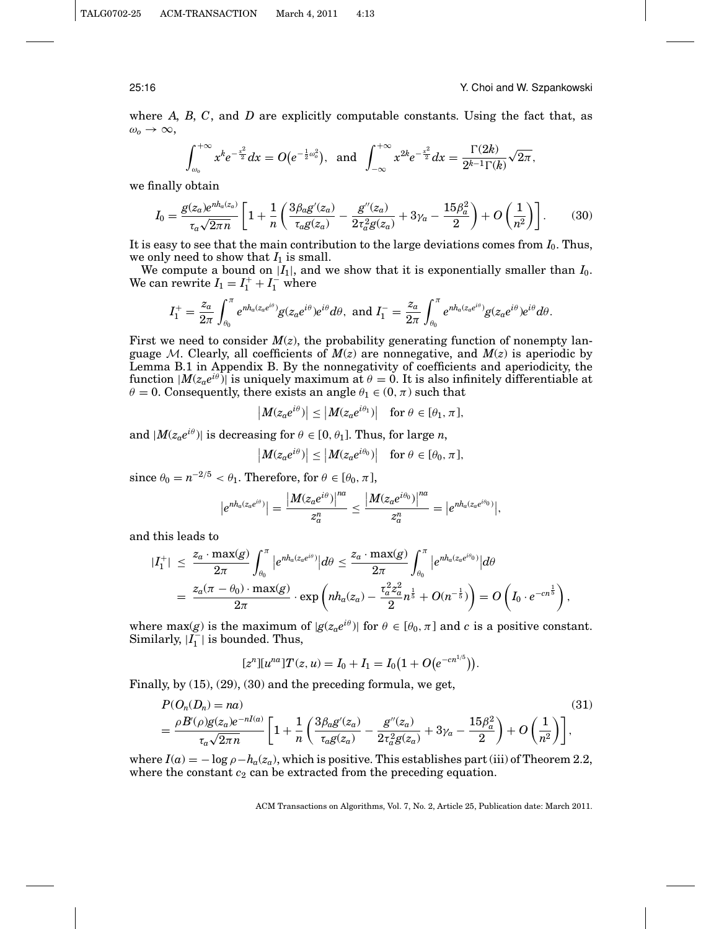#### 25:16 Y. Choi and W. Szpankowski

where *A*, *B*, *C*, and *D* are explicitly computable constants. Using the fact that, as  $\omega_0 \rightarrow \infty$ ,

$$
\int_{\omega_0}^{+\infty} x^k e^{-\frac{x^2}{2}} dx = O(e^{-\frac{1}{2}\omega_0^2}), \text{ and } \int_{-\infty}^{+\infty} x^{2k} e^{-\frac{x^2}{2}} dx = \frac{\Gamma(2k)}{2^{k-1}\Gamma(k)} \sqrt{2\pi},
$$

we finally obtain

$$
I_0 = \frac{g(z_a)e^{nh_a(z_a)}}{\tau_a\sqrt{2\pi n}} \left[1 + \frac{1}{n}\left(\frac{3\beta_a g'(z_a)}{\tau_a g(z_a)} - \frac{g''(z_a)}{2\tau_a^2 g(z_a)} + 3\gamma_a - \frac{15\beta_a^2}{2}\right) + O\left(\frac{1}{n^2}\right)\right].\tag{30}
$$

It is easy to see that the main contribution to the large deviations comes from *I*0. Thus, we only need to show that  $I_1$  is small.

We compute a bound on  $|I_1|$ , and we show that it is exponentially smaller than  $I_0$ . We can rewrite  $I_1 = I_1^+ + I_1^-$  where

$$
I_1^+=\frac{z_a}{2\pi}\int_{\theta_0}^\pi e^{nh_a(z_a e^{i\theta})}g(z_a e^{i\theta})e^{i\theta}d\theta, \text{ and } I_1^-=\frac{z_a}{2\pi}\int_{\theta_0}^\pi e^{nh_a(z_a e^{i\theta})}g(z_a e^{i\theta})e^{i\theta}d\theta.
$$

First we need to consider  $M(z)$ , the probability generating function of nonempty language M. Clearly, all coefficients of  $M(z)$  are nonnegative, and  $M(z)$  is aperiodic by Lemma B.1 in Appendix B. By the nonnegativity of coefficients and aperiodicity, the function  $|M(z_a e^{i\theta})|$  is uniquely maximum at  $\theta = 0$ . It is also infinitely differentiable at  $\theta = 0$ . Consequently, there exists an angle  $\theta_1 \in (0, \pi)$  such that

$$
|M(z_a e^{i\theta})| \le |M(z_a e^{i\theta_1})| \text{ for } \theta \in [\theta_1, \pi],
$$

and  $|M(z_a e^{i\theta})|$  is decreasing for  $\theta \in [0, \theta_1]$ . Thus, for large *n*,

$$
|M(z_a e^{i\theta})| \le |M(z_a e^{i\theta_0})| \text{ for } \theta \in [\theta_0, \pi],
$$

since  $\theta_0 = n^{-2/5} < \theta_1$ . Therefore, for  $\theta \in [\theta_0, \pi]$ ,

$$
|e^{nh_a(z_a e^{i\theta})}| = \frac{|M(z_a e^{i\theta})|^{na}}{z_a^n} \leq \frac{|M(z_a e^{i\theta_0})|^{na}}{z_a^n} = |e^{nh_a(z_a e^{i\theta_0})}|,
$$

and this leads to

$$
\begin{split} |I_1^+|&\;\leq\;\frac{z_a\cdot\max(g)}{2\pi}\int_{\theta_0}^\pi\big|e^{nh_a(z_a e^{i\theta})}\big|d\theta\leq\frac{z_a\cdot\max(g)}{2\pi}\int_{\theta_0}^\pi\big|e^{nh_a(z_a e^{i\theta_0})}\big|d\theta\\ &=\frac{z_a(\pi-\theta_0)\cdot\max(g)}{2\pi}\cdot\exp\left(nh_a(z_a)-\frac{\tau_a^2z_a^2}{2}n^{\frac{1}{5}}+O(n^{-\frac{1}{5}})\right)=O\left(I_0\cdot e^{-cn^{\frac{1}{5}}}\right), \end{split}
$$

where max(*g*) is the maximum of  $|g(z_a e^{i\theta})|$  for  $\theta \in [\theta_0, \pi]$  and *c* is a positive constant. Similarly,  $|\tilde{I_1}|$  is bounded. Thus,

$$
[zn][una]T(z, u) = I0 + I1 = I0(1 + O(e-cn1/5)).
$$

Finally, by (15), (29), (30) and the preceding formula, we get,

$$
P(O_n(D_n)) = na)
$$
\n
$$
= \frac{\rho B'(\rho)g(z_a)e^{-nI(a)}}{\tau_a\sqrt{2\pi n}} \left[1 + \frac{1}{n}\left(\frac{3\beta_a g'(z_a)}{\tau_a g(z_a)} - \frac{g''(z_a)}{2\tau_a^2 g(z_a)} + 3\gamma_a - \frac{15\beta_a^2}{2}\right) + O\left(\frac{1}{n^2}\right)\right],
$$
\n(31)

where  $I(a) = -\log \rho - h_a(z_a)$ , which is positive. This establishes part (iii) of Theorem 2.2, where the constant  $c_2$  can be extracted from the preceding equation.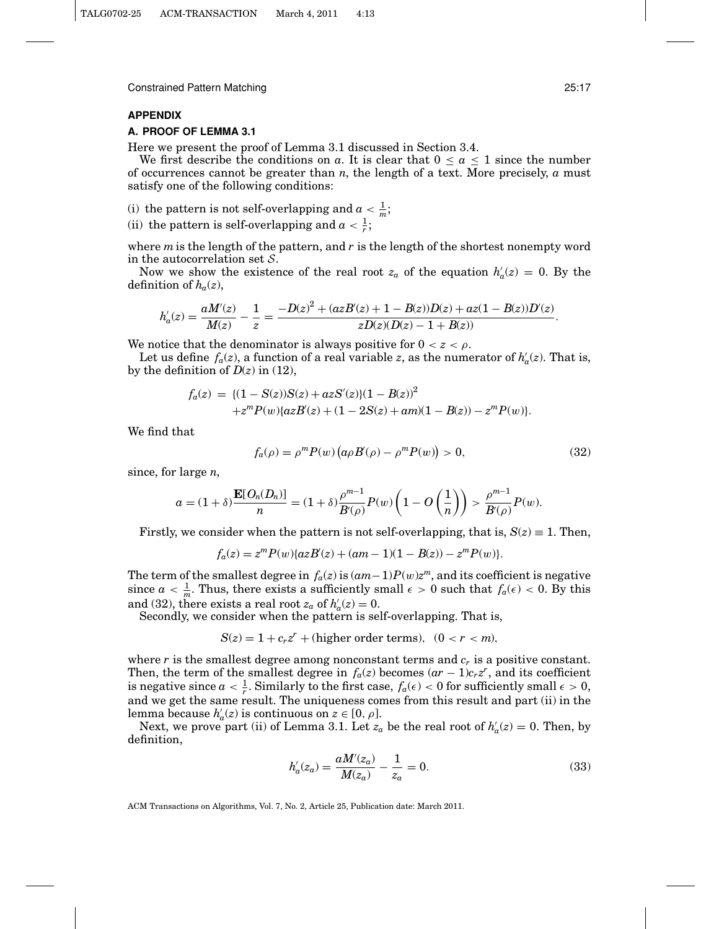### **APPENDIX**

#### **A. PROOF OF LEMMA 3.1**

Here we present the proof of Lemma 3.1 discussed in Section 3.4.

We first describe the conditions on *a*. It is clear that  $0 \le a \le 1$  since the number of occurrences cannot be greater than *n*, the length of a text. More precisely, *a* must satisfy one of the following conditions:

(i) the pattern is not self-overlapping and  $a < \frac{1}{m}$ ;

(ii) the pattern is self-overlapping and  $a < \frac{1}{r}$ ;

where *m*is the length of the pattern, and *r* is the length of the shortest nonempty word in the autocorrelation set  $S$ .

Now we show the existence of the real root  $z_a$  of the equation  $h'_a(z) = 0$ . By the definition of  $h_a(z)$ ,

$$
h'_a(z)=\frac{aM'(z)}{M(z)}-\frac{1}{z}=\frac{-D(z)^2+(azB'(z)+1-B(z))D(z)+az(1-B(z))D'(z)}{zD(z)(D(z)-1+B(z))}.
$$

We notice that the denominator is always positive for  $0 < z < \rho$ .

Let us define  $f_a(z)$ , a function of a real variable *z*, as the numerator of  $h'_a(z)$ . That is, by the definition of  $D(z)$  in (12),

$$
f_a(z) = \{ (1 - S(z))S(z) + azS'(z) \} (1 - B(z))^2 + z^m P(w) \{ azB'(z) + (1 - 2S(z) + am)(1 - B(z)) - z^m P(w) \}.
$$

We find that

$$
f_a(\rho) = \rho^m P(w) \left( a \rho B'(\rho) - \rho^m P(w) \right) > 0, \tag{32}
$$

since, for large *n*,

$$
a = (1+\delta)\frac{\mathbf{E}[O_n(D_n)]}{n} = (1+\delta)\frac{\rho^{m-1}}{B(\rho)}P(w)\left(1-O\left(\frac{1}{n}\right)\right) > \frac{\rho^{m-1}}{B(\rho)}P(w).
$$

Firstly, we consider when the pattern is not self-overlapping, that is,  $S(z) \equiv 1$ . Then,

$$
f_a(z) = zm P(w) \{ az B'(z) + (am - 1)(1 - B(z)) - zm P(w) \}.
$$

The term of the smallest degree in  $f_a(z)$  is  $(am-1)P(w)z^m$ , and its coefficient is negative since  $a < \frac{1}{m}$ . Thus, there exists a sufficiently small  $\epsilon > 0$  such that  $f_a(\epsilon) < 0$ . By this and (32), there exists a real root  $z_a$  of  $h'_a(z) = 0$ .

Secondly, we consider when the pattern is self-overlapping. That is,

$$
S(z) = 1 + c_r z^r + (higher order terms), (0 < r < m),
$$

where  $r$  is the smallest degree among nonconstant terms and  $c_r$  is a positive constant. Then, the term of the smallest degree in  $f_a(z)$  becomes  $(ar - 1)c_rz^r$ , and its coefficient is negative since  $a < \frac{1}{r}$ . Similarly to the first case,  $f_a(\epsilon) < 0$  for sufficiently small  $\epsilon > 0$ , and we get the same result. The uniqueness comes from this result and part (ii) in the lemma because  $h'_a(z)$  is continuous on  $z \in [0, \rho]$ .

Next, we prove part (ii) of Lemma 3.1. Let  $z_a$  be the real root of  $h'_a(z) = 0$ . Then, by definition,

$$
h'_a(z_a) = \frac{aM'(z_a)}{M(z_a)} - \frac{1}{z_a} = 0.
$$
\n(33)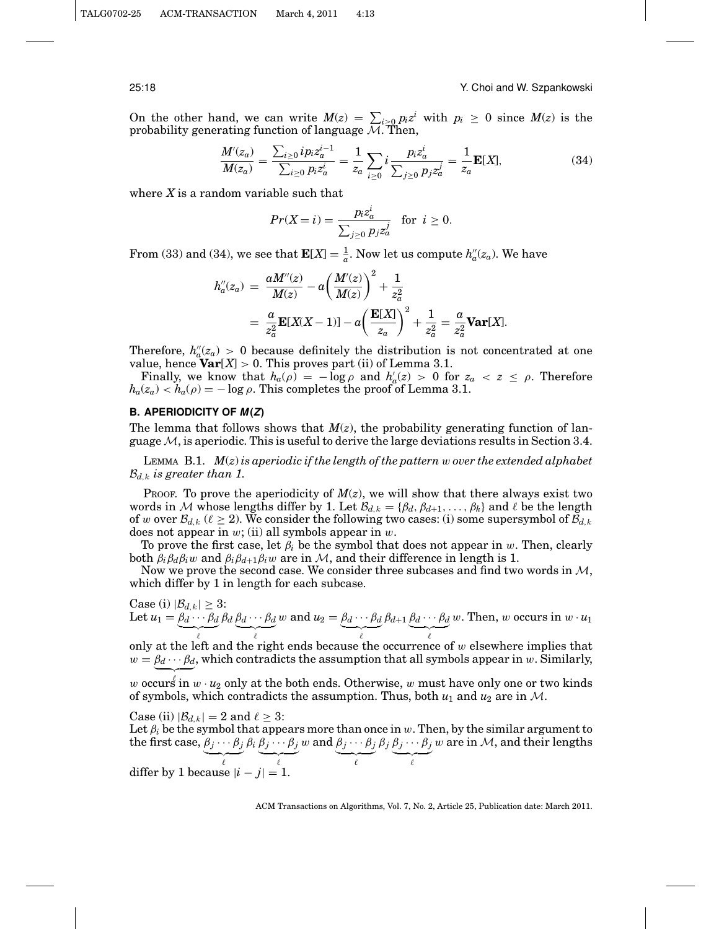#### 25:18 Y. Choi and W. Szpankowski

On the other hand, we can write  $M(z) = \sum_{i \geq 0} p_i z^i$  with  $p_i \geq 0$  since  $M(z)$  is the probability generating function of language  $\mathcal{M}$ . Then,

$$
\frac{M'(z_a)}{M(z_a)} = \frac{\sum_{i\geq 0} i p_i z_a^{i-1}}{\sum_{i\geq 0} p_i z_a^i} = \frac{1}{z_a} \sum_{i\geq 0} i \frac{p_i z_a^i}{\sum_{j\geq 0} p_j z_a^j} = \frac{1}{z_a} \mathbf{E}[X],\tag{34}
$$

where *X* is a random variable such that

$$
Pr(X = i) = \frac{p_i z_a^i}{\sum_{j \ge 0} p_j z_a^j} \quad \text{for} \ \ i \ge 0.
$$

From (33) and (34), we see that  $\mathbf{E}[X] = \frac{1}{a}$ . Now let us compute  $h''_a(z_a)$ . We have

$$
h''_a(z_a) = \frac{aM''(z)}{M(z)} - a\left(\frac{M'(z)}{M(z)}\right)^2 + \frac{1}{z_a^2}
$$
  
=  $\frac{a}{z_a^2}$ **E**[*X*(*X* – 1)] – *a* $\left(\frac{\mathbf{E}[X]}{z_a}\right)^2 + \frac{1}{z_a^2} = \frac{a}{z_a^2}$ **Var**[*X*].

Therefore,  $h''_a(z_a) > 0$  because definitely the distribution is not concentrated at one value, hence **Var**[*X*] > 0. This proves part (ii) of Lemma 3.1.

Finally, we know that  $h_a(\rho) = -\log \rho$  and  $h'_a(z) > 0$  for  $z_a < z \le \rho$ . Therefore  $h_a(z_a) < h_a(\rho) = -\log \rho$ . This completes the proof of Lemma 3.1.

#### **B. APERIODICITY OF**  $M(Z)$

The lemma that follows shows that  $M(z)$ , the probability generating function of language  $M$ , is aperiodic. This is useful to derive the large deviations results in Section 3.4.

LEMMA B.1. *M*(*z*) *is aperiodic if the length of the pattern* w *over the extended alphabet*  $\mathcal{B}_{d,k}$  *is greater than 1.* 

PROOF. To prove the aperiodicity of *M*(*z*), we will show that there always exist two words in M whose lengths differ by 1. Let  $\mathcal{B}_{d,k} = {\beta_d, \beta_{d+1}, \ldots, \beta_k}$  and  $\ell$  be the length of w over  $\mathcal{B}_{d,k}$  ( $\ell \geq 2$ ). We consider the following two cases: (i) some supersymbol of  $\mathcal{B}_{d,k}$ does not appear in  $w$ ; (ii) all symbols appear in  $w$ .

To prove the first case, let  $\beta_i$  be the symbol that does not appear in w. Then, clearly both  $\beta_i \beta_d \beta_i w$  and  $\beta_i \beta_{d+1} \beta_i w$  are in M, and their difference in length is 1.

Now we prove the second case. We consider three subcases and find two words in  $M$ , which differ by 1 in length for each subcase.

Case (i) 
$$
|\mathcal{B}_{d,k}| \geq 3
$$
:  
Let  $u_1 = \underbrace{\beta_d \cdots \beta_d}_{\ell} \beta_d \underbrace{\beta_d \cdots \beta_d}_{\ell} w$  and  $u_2 = \underbrace{\beta_d \cdots \beta_d}_{\ell} \beta_{d+1} \underbrace{\beta_d \cdots \beta_d}_{\ell} w$ . Then, w occurs in  $w \cdot u_1$ 

only at the left and the right ends because the occurrence of  $w$  elsewhere implies that  $w = \beta_d \cdots \beta_d$ , which contradicts the assumption that all symbols appear in w. Similarly,

w occurs in  $w \cdot u_2$  only at the both ends. Otherwise, w must have only one or two kinds of symbols, which contradicts the assumption. Thus, both  $u_1$  and  $u_2$  are in M.

Case (ii)  $|\mathcal{B}_{d,k}| = 2$  and  $\ell \geq 3$ :

Let  $\beta_i$  be the symbol that appears more than once in  $w$ . Then, by the similar argument to the first case,  $\beta_j \cdots \beta_j$ β*<sup>i</sup>* β*<sup>j</sup>* ··· β*<sup>j</sup>*  $w$  and  $\beta_j \cdots \beta_j$ β*<sup>j</sup>* β*<sup>j</sup>* ··· β*<sup>j</sup>* w are in  $M$ , and their lengths

 $\overline{\ell}$  $\overline{\ell}$  $\overline{\ell}$  $\overline{\ell}$ differ by 1 because  $|i - j| = 1$ .